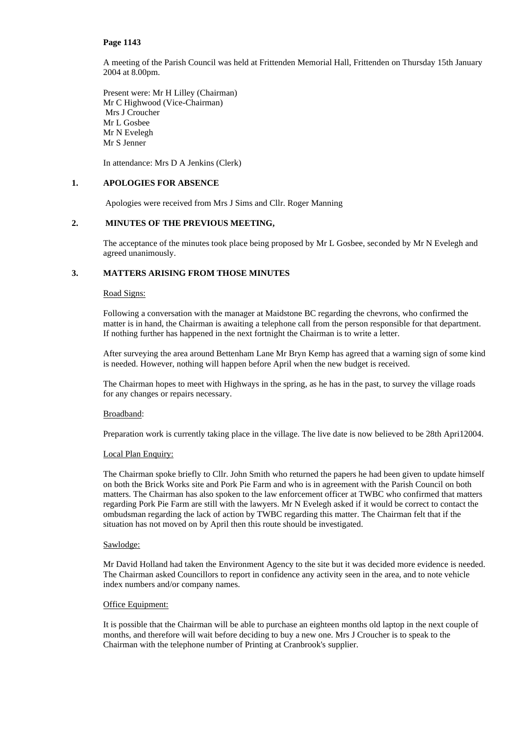A meeting of the Parish Council was held at Frittenden Memorial Hall, Frittenden on Thursday 15th January 2004 at 8.00pm.

Present were: Mr H Lilley (Chairman) Mr C Highwood (Vice-Chairman) Mrs J Croucher Mr L Gosbee Mr N Evelegh Mr S Jenner

In attendance: Mrs D A Jenkins (Clerk)

### **1. APOLOGIES FOR ABSENCE**

Apologies were received from Mrs J Sims and Cllr. Roger Manning

### **2. MINUTES OF THE PREVIOUS MEETING,**

The acceptance of the minutes took place being proposed by Mr L Gosbee, seconded by Mr N Evelegh and agreed unanimously.

# **3. MATTERS ARISING FROM THOSE MINUTES**

### Road Signs:

Following a conversation with the manager at Maidstone BC regarding the chevrons, who confirmed the matter is in hand, the Chairman is awaiting a telephone call from the person responsible for that department. If nothing further has happened in the next fortnight the Chairman is to write a letter.

After surveying the area around Bettenham Lane Mr Bryn Kemp has agreed that a warning sign of some kind is needed. However, nothing will happen before April when the new budget is received.

The Chairman hopes to meet with Highways in the spring, as he has in the past, to survey the village roads for any changes or repairs necessary.

### Broadband:

Preparation work is currently taking place in the village. The live date is now believed to be 28th Apri12004.

### Local Plan Enquiry:

The Chairman spoke briefly to Cllr. John Smith who returned the papers he had been given to update himself on both the Brick Works site and Pork Pie Farm and who is in agreement with the Parish Council on both matters. The Chairman has also spoken to the law enforcement officer at TWBC who confirmed that matters regarding Pork Pie Farm are still with the lawyers. Mr N Evelegh asked if it would be correct to contact the ombudsman regarding the lack of action by TWBC regarding this matter. The Chairman felt that if the situation has not moved on by April then this route should be investigated.

## Sawlodge:

Mr David Holland had taken the Environment Agency to the site but it was decided more evidence is needed. The Chairman asked Councillors to report in confidence any activity seen in the area, and to note vehicle index numbers and/or company names.

## Office Equipment:

It is possible that the Chairman will be able to purchase an eighteen months old laptop in the next couple of months, and therefore will wait before deciding to buy a new one. Mrs J Croucher is to speak to the Chairman with the telephone number of Printing at Cranbrook's supplier.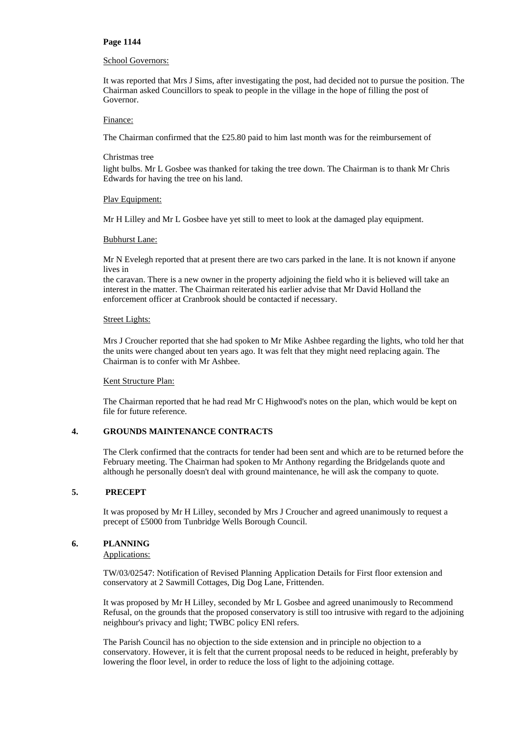### School Governors:

It was reported that Mrs J Sims, after investigating the post, had decided not to pursue the position. The Chairman asked Councillors to speak to people in the village in the hope of filling the post of Governor.

## Finance:

The Chairman confirmed that the £25.80 paid to him last month was for the reimbursement of

### Christmas tree

light bulbs. Mr L Gosbee was thanked for taking the tree down. The Chairman is to thank Mr Chris Edwards for having the tree on his land.

### Plav Equipment:

Mr H Lilley and Mr L Gosbee have yet still to meet to look at the damaged play equipment.

### Bubhurst Lane:

Mr N Evelegh reported that at present there are two cars parked in the lane. It is not known if anyone lives in

the caravan. There is a new owner in the property adjoining the field who it is believed will take an interest in the matter. The Chairman reiterated his earlier advise that Mr David Holland the enforcement officer at Cranbrook should be contacted if necessary.

### Street Lights:

Mrs J Croucher reported that she had spoken to Mr Mike Ashbee regarding the lights, who told her that the units were changed about ten years ago. It was felt that they might need replacing again. The Chairman is to confer with Mr Ashbee.

### Kent Structure Plan:

The Chairman reported that he had read Mr C Highwood's notes on the plan, which would be kept on file for future reference.

### **4. GROUNDS MAINTENANCE CONTRACTS**

The Clerk confirmed that the contracts for tender had been sent and which are to be returned before the February meeting. The Chairman had spoken to Mr Anthony regarding the Bridgelands quote and although he personally doesn't deal with ground maintenance, he will ask the company to quote.

# **5. PRECEPT**

It was proposed by Mr H Lilley, seconded by Mrs J Croucher and agreed unanimously to request a precept of £5000 from Tunbridge Wells Borough Council.

## **6. PLANNING**

## Applications:

TW/03/02547: Notification of Revised Planning Application Details for First floor extension and conservatory at 2 Sawmill Cottages, Dig Dog Lane, Frittenden.

It was proposed by Mr H Lilley, seconded by Mr L Gosbee and agreed unanimously to Recommend Refusal, on the grounds that the proposed conservatory is still too intrusive with regard to the adjoining neighbour's privacy and light; TWBC policy ENl refers.

The Parish Council has no objection to the side extension and in principle no objection to a conservatory. However, it is felt that the current proposal needs to be reduced in height, preferably by lowering the floor level, in order to reduce the loss of light to the adjoining cottage.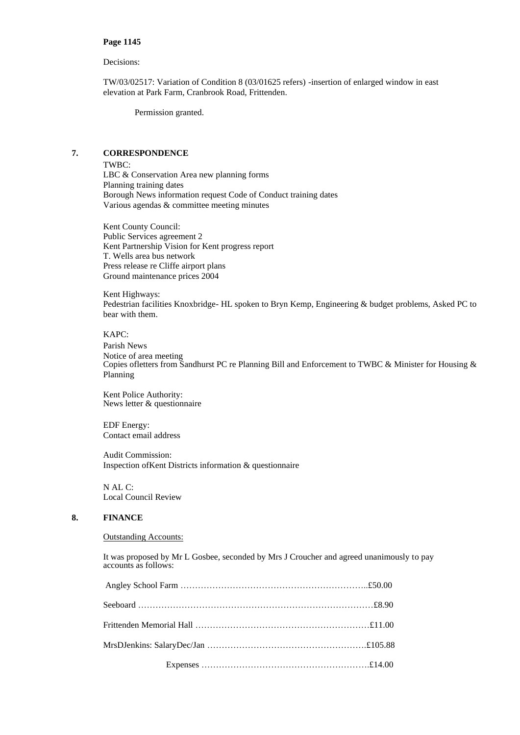## Decisions:

TW/03/02517: Variation of Condition 8 (03/01625 refers) -insertion of enlarged window in east elevation at Park Farm, Cranbrook Road, Frittenden.

Permission granted.

# **7. CORRESPONDENCE**

TWBC: LBC & Conservation Area new planning forms Planning training dates Borough News information request Code of Conduct training dates Various agendas & committee meeting minutes

Kent County Council: Public Services agreement 2 Kent Partnership Vision for Kent progress report T. Wells area bus network Press release re Cliffe airport plans Ground maintenance prices 2004

Kent Highways: Pedestrian facilities Knoxbridge- HL spoken to Bryn Kemp, Engineering & budget problems, Asked PC to bear with them.

### KAPC:

Parish News Notice of area meeting Copies ofletters from Sandhurst PC re Planning Bill and Enforcement to TWBC & Minister for Housing & Planning

Kent Police Authority: News letter & questionnaire

EDF Energy: Contact email address

Audit Commission: Inspection ofKent Districts information & questionnaire

N AL C: Local Council Review

# **8. FINANCE**

### Outstanding Accounts:

It was proposed by Mr L Gosbee, seconded by Mrs J Croucher and agreed unanimously to pay accounts as follows: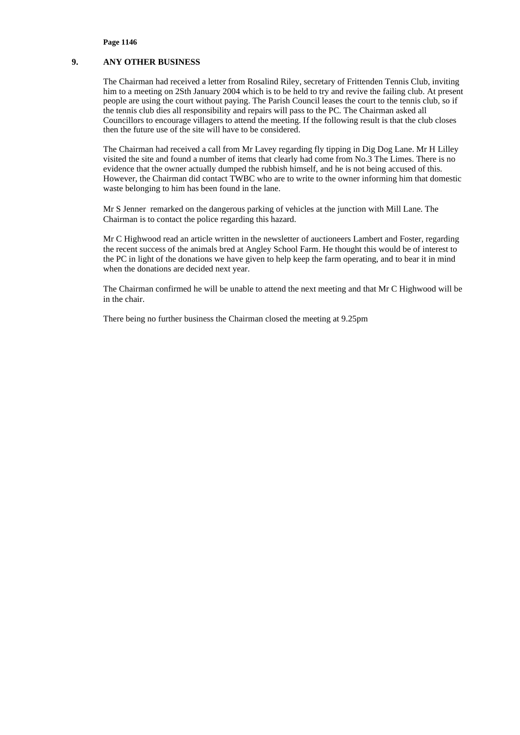# **9. ANY OTHER BUSINESS**

The Chairman had received a letter from Rosalind Riley, secretary of Frittenden Tennis Club, inviting him to a meeting on 2Sth January 2004 which is to be held to try and revive the failing club. At present people are using the court without paying. The Parish Council leases the court to the tennis club, so if the tennis club dies all responsibility and repairs will pass to the PC. The Chairman asked all Councillors to encourage villagers to attend the meeting. If the following result is that the club closes then the future use of the site will have to be considered.

The Chairman had received a call from Mr Lavey regarding fly tipping in Dig Dog Lane. Mr H Lilley visited the site and found a number of items that clearly had come from No.3 The Limes. There is no evidence that the owner actually dumped the rubbish himself, and he is not being accused of this. However, the Chairman did contact TWBC who are to write to the owner informing him that domestic waste belonging to him has been found in the lane.

Mr S Jenner remarked on the dangerous parking of vehicles at the junction with Mill Lane. The Chairman is to contact the police regarding this hazard.

Mr C Highwood read an article written in the newsletter of auctioneers Lambert and Foster, regarding the recent success of the animals bred at Angley School Farm. He thought this would be of interest to the PC in light of the donations we have given to help keep the farm operating, and to bear it in mind when the donations are decided next year.

The Chairman confirmed he will be unable to attend the next meeting and that Mr C Highwood will be in the chair.

There being no further business the Chairman closed the meeting at 9.25pm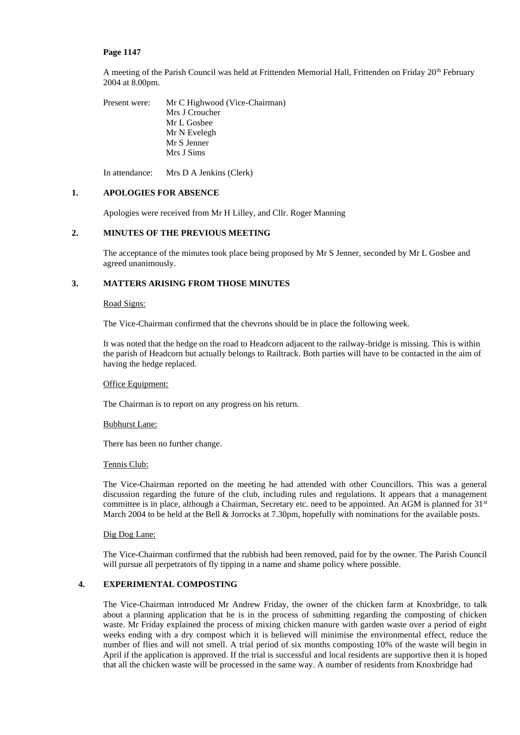A meeting of the Parish Council was held at Frittenden Memorial Hall, Frittenden on Friday 20<sup>th</sup> February 2004 at 8.00pm.

Present were: Mr C Highwood (Vice-Chairman) Mrs J Croucher Mr L Gosbee Mr N Evelegh Mr S Jenner Mrs J Sims

In attendance: Mrs D A Jenkins (Clerk)

## **1. APOLOGIES FOR ABSENCE**

Apologies were received from Mr H Lilley, and Cllr. Roger Manning

# **2. MINUTES OF THE PREVIOUS MEETING**

The acceptance of the minutes took place being proposed by Mr S Jenner, seconded by Mr L Gosbee and agreed unanimously.

# **3. MATTERS ARISING FROM THOSE MINUTES**

### Road Signs:

The Vice-Chairman confirmed that the chevrons should be in place the following week.

It was noted that the hedge on the road to Headcorn adjacent to the railway-bridge is missing. This is within the parish of Headcorn but actually belongs to Railtrack. Both parties will have to be contacted in the aim of having the hedge replaced.

### Office Equipment:

The Chairman is to report on any progress on his return.

# Bubhurst Lane:

There has been no further change.

### Tennis Club:

The Vice-Chairman reported on the meeting he had attended with other Councillors. This was a general discussion regarding the future of the club, including rules and regulations. It appears that a management committee is in place, although a Chairman, Secretary etc. need to be appointed. An AGM is planned for  $31<sup>st</sup>$ March 2004 to be held at the Bell & Jorrocks at 7.30pm, hopefully with nominations for the available posts.

### Dig Dog Lane:

The Vice-Chairman confirmed that the rubbish had been removed, paid for by the owner. The Parish Council will pursue all perpetrators of fly tipping in a name and shame policy where possible.

### **4. EXPERIMENTAL COMPOSTING**

The Vice-Chairman introduced Mr Andrew Friday, the owner of the chicken farm at Knoxbridge, to talk about a planning application that he is in the process of submitting regarding the composting of chicken waste. Mr Friday explained the process of mixing chicken manure with garden waste over a period of eight weeks ending with a dry compost which it is believed will minimise the environmental effect, reduce the number of flies and will not smell. A trial period of six months composting 10% of the waste will begin in April if the application is approved. If the trial is successful and local residents are supportive then it is hoped that all the chicken waste will be processed in the same way. A number of residents from Knoxbridge had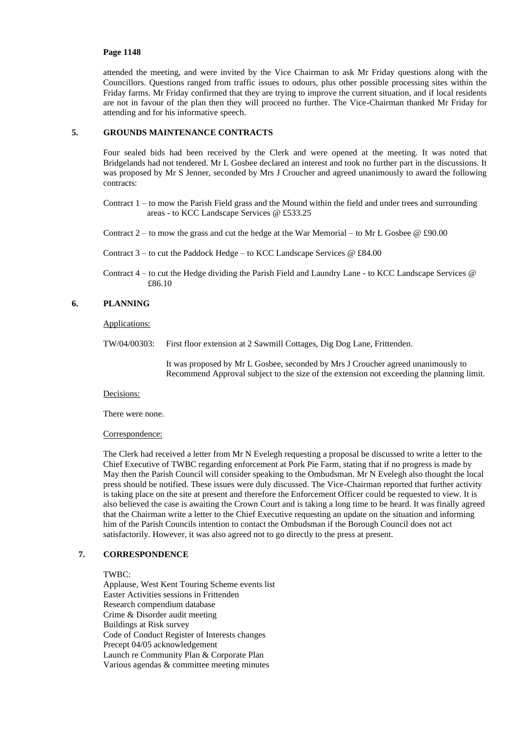attended the meeting, and were invited by the Vice Chairman to ask Mr Friday questions along with the Councillors. Questions ranged from traffic issues to odours, plus other possible processing sites within the Friday farms. Mr Friday confirmed that they are trying to improve the current situation, and if local residents are not in favour of the plan then they will proceed no further. The Vice-Chairman thanked Mr Friday for attending and for his informative speech.

# **5. GROUNDS MAINTENANCE CONTRACTS**

Four sealed bids had been received by the Clerk and were opened at the meeting. It was noted that Bridgelands had not tendered. Mr L Gosbee declared an interest and took no further part in the discussions. It was proposed by Mr S Jenner, seconded by Mrs J Croucher and agreed unanimously to award the following contracts:

Contract 1 – to mow the Parish Field grass and the Mound within the field and under trees and surrounding areas - to KCC Landscape Services @ £533.25

Contract  $2$  – to mow the grass and cut the hedge at the War Memorial – to Mr L Gosbee  $@$  £90.00

- Contract  $3 -$  to cut the Paddock Hedge to KCC Landscape Services  $@$  £84.00
- Contract 4 to cut the Hedge dividing the Parish Field and Laundry Lane to KCC Landscape Services @ £86.10

# **6. PLANNING**

### Applications:

TW/04/00303: First floor extension at 2 Sawmill Cottages, Dig Dog Lane, Frittenden.

It was proposed by Mr L Gosbee, seconded by Mrs J Croucher agreed unanimously to Recommend Approval subject to the size of the extension not exceeding the planning limit.

### Decisions:

There were none.

## Correspondence:

The Clerk had received a letter from Mr N Evelegh requesting a proposal be discussed to write a letter to the Chief Executive of TWBC regarding enforcement at Pork Pie Farm, stating that if no progress is made by May then the Parish Council will consider speaking to the Ombudsman. Mr N Evelegh also thought the local press should be notified. These issues were duly discussed. The Vice-Chairman reported that further activity is taking place on the site at present and therefore the Enforcement Officer could be requested to view. It is also believed the case is awaiting the Crown Court and is taking a long time to be heard. It was finally agreed that the Chairman write a letter to the Chief Executive requesting an update on the situation and informing him of the Parish Councils intention to contact the Ombudsman if the Borough Council does not act satisfactorily. However, it was also agreed not to go directly to the press at present.

# **7. CORRESPONDENCE**

# TWBC:

Applause, West Kent Touring Scheme events list Easter Activities sessions in Frittenden Research compendium database Crime & Disorder audit meeting Buildings at Risk survey Code of Conduct Register of Interests changes Precept 04/05 acknowledgement Launch re Community Plan & Corporate Plan Various agendas & committee meeting minutes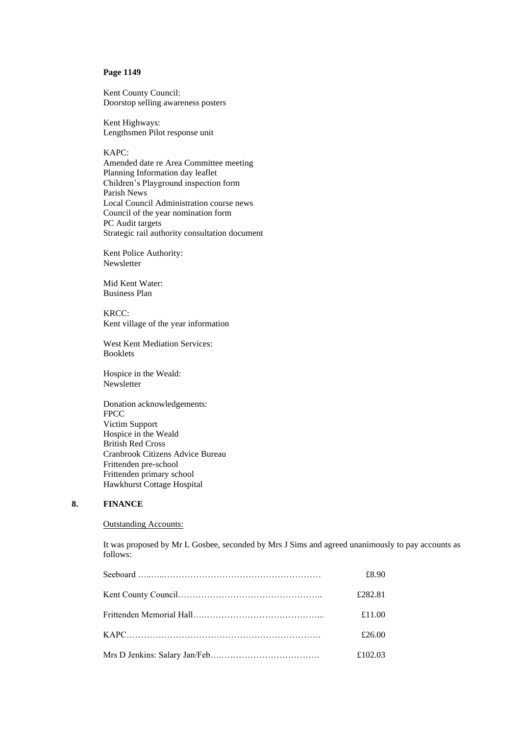Kent County Council: Doorstop selling awareness posters

Kent Highways: Lengthsmen Pilot response unit

KAPC:

Amended date re Area Committee meeting Planning Information day leaflet Children's Playground inspection form Parish News Local Council Administration course news Council of the year nomination form PC Audit targets Strategic rail authority consultation document

Kent Police Authority: Newsletter

Mid Kent Water: Business Plan

KRCC: Kent village of the year information

West Kent Mediation Services: Booklets

Hospice in the Weald: Newsletter

Donation acknowledgements: FPCC Victim Support Hospice in the Weald British Red Cross Cranbrook Citizens Advice Bureau Frittenden pre-school Frittenden primary school Hawkhurst Cottage Hospital

# **8. FINANCE**

# Outstanding Accounts:

It was proposed by Mr L Gosbee, seconded by Mrs J Sims and agreed unanimously to pay accounts as follows:

| £8.90   |
|---------|
| £282.81 |
| £11.00  |
| £26.00  |
| £102.03 |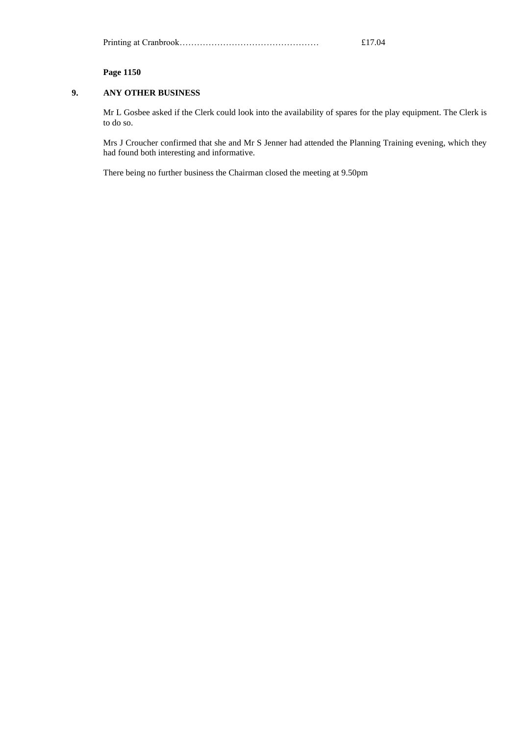|--|

# **9. ANY OTHER BUSINESS**

Mr L Gosbee asked if the Clerk could look into the availability of spares for the play equipment. The Clerk is to do so.

Mrs J Croucher confirmed that she and Mr S Jenner had attended the Planning Training evening, which they had found both interesting and informative.

There being no further business the Chairman closed the meeting at 9.50pm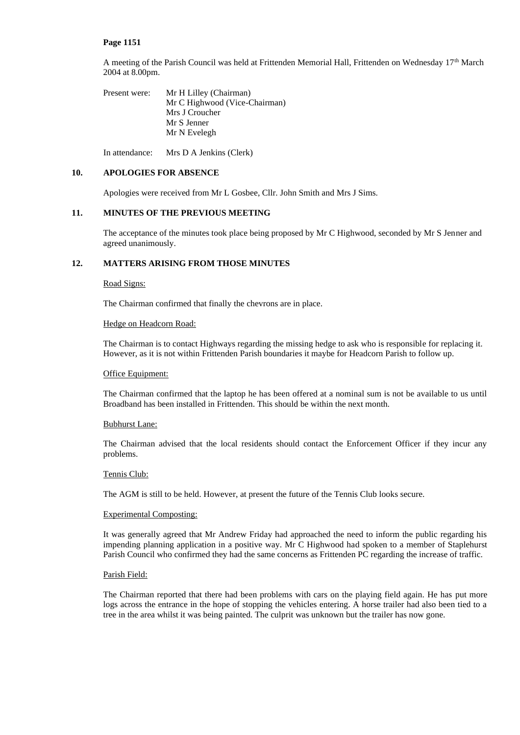A meeting of the Parish Council was held at Frittenden Memorial Hall, Frittenden on Wednesday 17th March 2004 at 8.00pm.

Present were: Mr H Lilley (Chairman) Mr C Highwood (Vice-Chairman) Mrs J Croucher Mr S Jenner Mr N Evelegh

In attendance: Mrs D A Jenkins (Clerk)

# **10. APOLOGIES FOR ABSENCE**

Apologies were received from Mr L Gosbee, Cllr. John Smith and Mrs J Sims.

# **11. MINUTES OF THE PREVIOUS MEETING**

The acceptance of the minutes took place being proposed by Mr C Highwood, seconded by Mr S Jenner and agreed unanimously.

# **12. MATTERS ARISING FROM THOSE MINUTES**

# Road Signs:

The Chairman confirmed that finally the chevrons are in place.

### Hedge on Headcorn Road:

The Chairman is to contact Highways regarding the missing hedge to ask who is responsible for replacing it. However, as it is not within Frittenden Parish boundaries it maybe for Headcorn Parish to follow up.

### Office Equipment:

The Chairman confirmed that the laptop he has been offered at a nominal sum is not be available to us until Broadband has been installed in Frittenden. This should be within the next month.

# Bubhurst Lane:

The Chairman advised that the local residents should contact the Enforcement Officer if they incur any problems.

## Tennis Club:

The AGM is still to be held. However, at present the future of the Tennis Club looks secure.

#### Experimental Composting:

It was generally agreed that Mr Andrew Friday had approached the need to inform the public regarding his impending planning application in a positive way. Mr C Highwood had spoken to a member of Staplehurst Parish Council who confirmed they had the same concerns as Frittenden PC regarding the increase of traffic.

#### Parish Field:

The Chairman reported that there had been problems with cars on the playing field again. He has put more logs across the entrance in the hope of stopping the vehicles entering. A horse trailer had also been tied to a tree in the area whilst it was being painted. The culprit was unknown but the trailer has now gone.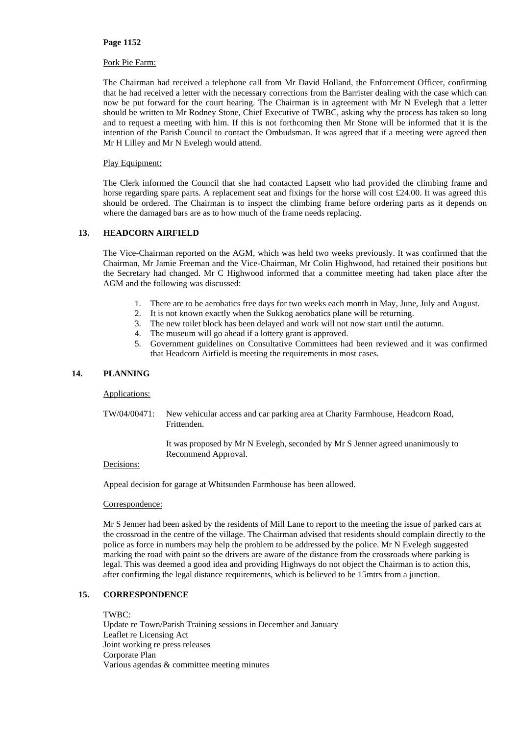## Pork Pie Farm:

The Chairman had received a telephone call from Mr David Holland, the Enforcement Officer, confirming that he had received a letter with the necessary corrections from the Barrister dealing with the case which can now be put forward for the court hearing. The Chairman is in agreement with Mr N Evelegh that a letter should be written to Mr Rodney Stone, Chief Executive of TWBC, asking why the process has taken so long and to request a meeting with him. If this is not forthcoming then Mr Stone will be informed that it is the intention of the Parish Council to contact the Ombudsman. It was agreed that if a meeting were agreed then Mr H Lilley and Mr N Evelegh would attend.

# Play Equipment:

The Clerk informed the Council that she had contacted Lapsett who had provided the climbing frame and horse regarding spare parts. A replacement seat and fixings for the horse will cost £24.00. It was agreed this should be ordered. The Chairman is to inspect the climbing frame before ordering parts as it depends on where the damaged bars are as to how much of the frame needs replacing.

# **13. HEADCORN AIRFIELD**

The Vice-Chairman reported on the AGM, which was held two weeks previously. It was confirmed that the Chairman, Mr Jamie Freeman and the Vice-Chairman, Mr Colin Highwood, had retained their positions but the Secretary had changed. Mr C Highwood informed that a committee meeting had taken place after the AGM and the following was discussed:

- 1. There are to be aerobatics free days for two weeks each month in May, June, July and August.
- 2. It is not known exactly when the Sukkog aerobatics plane will be returning.
- 3. The new toilet block has been delayed and work will not now start until the autumn.
- 4. The museum will go ahead if a lottery grant is approved.
- 5. Government guidelines on Consultative Committees had been reviewed and it was confirmed that Headcorn Airfield is meeting the requirements in most cases.

# **14. PLANNING**

### Applications:

TW/04/00471: New vehicular access and car parking area at Charity Farmhouse, Headcorn Road, Frittenden.

> It was proposed by Mr N Evelegh, seconded by Mr S Jenner agreed unanimously to Recommend Approval.

### Decisions:

Appeal decision for garage at Whitsunden Farmhouse has been allowed.

### Correspondence:

Mr S Jenner had been asked by the residents of Mill Lane to report to the meeting the issue of parked cars at the crossroad in the centre of the village. The Chairman advised that residents should complain directly to the police as force in numbers may help the problem to be addressed by the police. Mr N Evelegh suggested marking the road with paint so the drivers are aware of the distance from the crossroads where parking is legal. This was deemed a good idea and providing Highways do not object the Chairman is to action this, after confirming the legal distance requirements, which is believed to be 15mtrs from a junction.

# **15. CORRESPONDENCE**

TWBC: Update re Town/Parish Training sessions in December and January Leaflet re Licensing Act Joint working re press releases Corporate Plan Various agendas & committee meeting minutes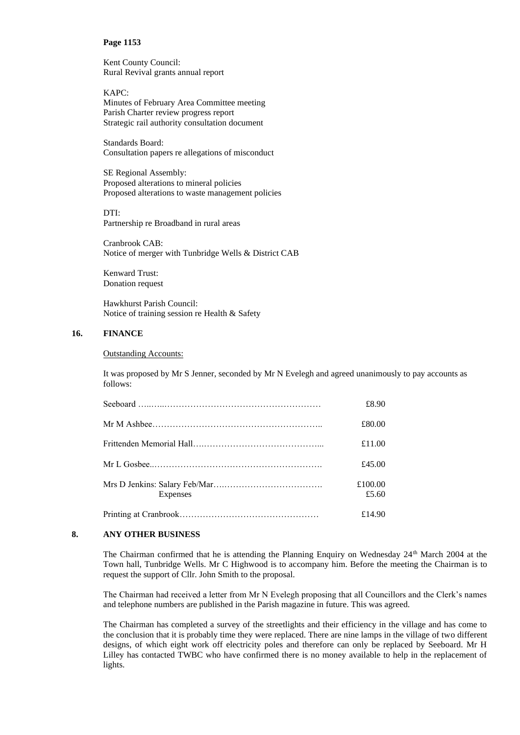Kent County Council: Rural Revival grants annual report

KAPC: Minutes of February Area Committee meeting Parish Charter review progress report Strategic rail authority consultation document

Standards Board: Consultation papers re allegations of misconduct

SE Regional Assembly: Proposed alterations to mineral policies Proposed alterations to waste management policies

DTI:

Partnership re Broadband in rural areas

Cranbrook CAB: Notice of merger with Tunbridge Wells & District CAB

Kenward Trust: Donation request

Hawkhurst Parish Council: Notice of training session re Health & Safety

# **16. FINANCE**

Outstanding Accounts:

It was proposed by Mr S Jenner, seconded by Mr N Evelegh and agreed unanimously to pay accounts as follows:

|          | £8.90            |
|----------|------------------|
|          | £80.00           |
|          | £11.00           |
|          | £45.00           |
| Expenses | £100.00<br>£5.60 |
|          | £14.90           |

## **8. ANY OTHER BUSINESS**

The Chairman confirmed that he is attending the Planning Enquiry on Wednesday 24<sup>th</sup> March 2004 at the Town hall, Tunbridge Wells. Mr C Highwood is to accompany him. Before the meeting the Chairman is to request the support of Cllr. John Smith to the proposal.

The Chairman had received a letter from Mr N Evelegh proposing that all Councillors and the Clerk's names and telephone numbers are published in the Parish magazine in future. This was agreed.

The Chairman has completed a survey of the streetlights and their efficiency in the village and has come to the conclusion that it is probably time they were replaced. There are nine lamps in the village of two different designs, of which eight work off electricity poles and therefore can only be replaced by Seeboard. Mr H Lilley has contacted TWBC who have confirmed there is no money available to help in the replacement of lights.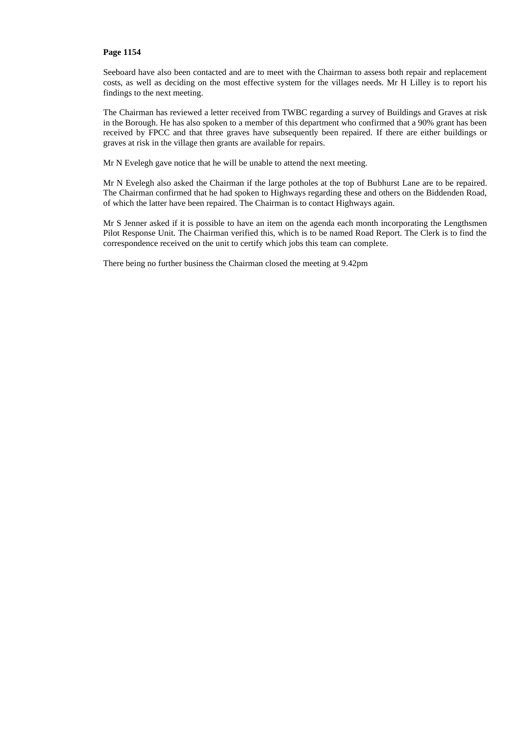Seeboard have also been contacted and are to meet with the Chairman to assess both repair and replacement costs, as well as deciding on the most effective system for the villages needs. Mr H Lilley is to report his findings to the next meeting.

The Chairman has reviewed a letter received from TWBC regarding a survey of Buildings and Graves at risk in the Borough. He has also spoken to a member of this department who confirmed that a 90% grant has been received by FPCC and that three graves have subsequently been repaired. If there are either buildings or graves at risk in the village then grants are available for repairs.

Mr N Evelegh gave notice that he will be unable to attend the next meeting.

Mr N Evelegh also asked the Chairman if the large potholes at the top of Bubhurst Lane are to be repaired. The Chairman confirmed that he had spoken to Highways regarding these and others on the Biddenden Road, of which the latter have been repaired. The Chairman is to contact Highways again.

Mr S Jenner asked if it is possible to have an item on the agenda each month incorporating the Lengthsmen Pilot Response Unit. The Chairman verified this, which is to be named Road Report. The Clerk is to find the correspondence received on the unit to certify which jobs this team can complete.

There being no further business the Chairman closed the meeting at 9.42pm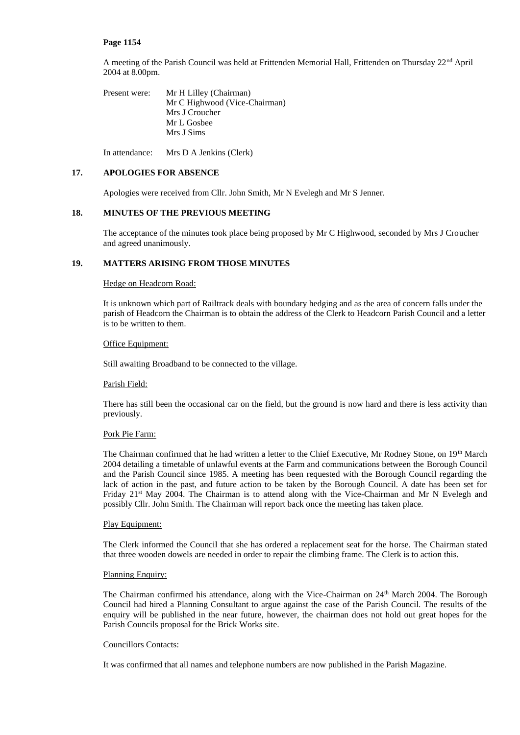A meeting of the Parish Council was held at Frittenden Memorial Hall, Frittenden on Thursday 22nd April 2004 at 8.00pm.

Present were: Mr H Lilley (Chairman) Mr C Highwood (Vice-Chairman) Mrs J Croucher Mr L Gosbee Mrs J Sims

In attendance: Mrs D A Jenkins (Clerk)

# **17. APOLOGIES FOR ABSENCE**

Apologies were received from Cllr. John Smith, Mr N Evelegh and Mr S Jenner.

# **18. MINUTES OF THE PREVIOUS MEETING**

The acceptance of the minutes took place being proposed by Mr C Highwood, seconded by Mrs J Croucher and agreed unanimously.

# **19. MATTERS ARISING FROM THOSE MINUTES**

### Hedge on Headcorn Road:

It is unknown which part of Railtrack deals with boundary hedging and as the area of concern falls under the parish of Headcorn the Chairman is to obtain the address of the Clerk to Headcorn Parish Council and a letter is to be written to them.

# Office Equipment:

Still awaiting Broadband to be connected to the village.

### Parish Field:

There has still been the occasional car on the field, but the ground is now hard and there is less activity than previously.

## Pork Pie Farm:

The Chairman confirmed that he had written a letter to the Chief Executive, Mr Rodney Stone, on 19<sup>th</sup> March 2004 detailing a timetable of unlawful events at the Farm and communications between the Borough Council and the Parish Council since 1985. A meeting has been requested with the Borough Council regarding the lack of action in the past, and future action to be taken by the Borough Council. A date has been set for Friday 21<sup>st</sup> May 2004. The Chairman is to attend along with the Vice-Chairman and Mr N Evelegh and possibly Cllr. John Smith. The Chairman will report back once the meeting has taken place.

### Play Equipment:

The Clerk informed the Council that she has ordered a replacement seat for the horse. The Chairman stated that three wooden dowels are needed in order to repair the climbing frame. The Clerk is to action this.

### Planning Enquiry:

The Chairman confirmed his attendance, along with the Vice-Chairman on 24<sup>th</sup> March 2004. The Borough Council had hired a Planning Consultant to argue against the case of the Parish Council. The results of the enquiry will be published in the near future, however, the chairman does not hold out great hopes for the Parish Councils proposal for the Brick Works site.

# Councillors Contacts:

It was confirmed that all names and telephone numbers are now published in the Parish Magazine.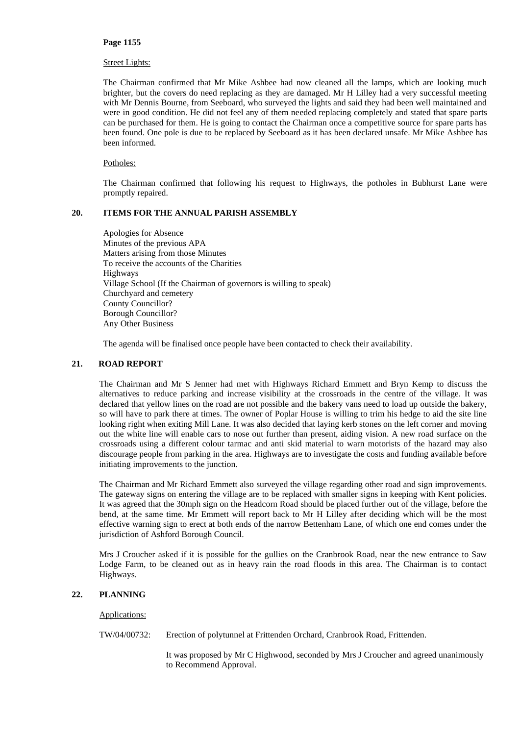## Street Lights:

The Chairman confirmed that Mr Mike Ashbee had now cleaned all the lamps, which are looking much brighter, but the covers do need replacing as they are damaged. Mr H Lilley had a very successful meeting with Mr Dennis Bourne, from Seeboard, who surveyed the lights and said they had been well maintained and were in good condition. He did not feel any of them needed replacing completely and stated that spare parts can be purchased for them. He is going to contact the Chairman once a competitive source for spare parts has been found. One pole is due to be replaced by Seeboard as it has been declared unsafe. Mr Mike Ashbee has been informed.

# Potholes:

The Chairman confirmed that following his request to Highways, the potholes in Bubhurst Lane were promptly repaired.

# **20. ITEMS FOR THE ANNUAL PARISH ASSEMBLY**

Apologies for Absence Minutes of the previous APA Matters arising from those Minutes To receive the accounts of the Charities Highways Village School (If the Chairman of governors is willing to speak) Churchyard and cemetery County Councillor? Borough Councillor? Any Other Business

The agenda will be finalised once people have been contacted to check their availability.

# **21. ROAD REPORT**

The Chairman and Mr S Jenner had met with Highways Richard Emmett and Bryn Kemp to discuss the alternatives to reduce parking and increase visibility at the crossroads in the centre of the village. It was declared that yellow lines on the road are not possible and the bakery vans need to load up outside the bakery, so will have to park there at times. The owner of Poplar House is willing to trim his hedge to aid the site line looking right when exiting Mill Lane. It was also decided that laying kerb stones on the left corner and moving out the white line will enable cars to nose out further than present, aiding vision. A new road surface on the crossroads using a different colour tarmac and anti skid material to warn motorists of the hazard may also discourage people from parking in the area. Highways are to investigate the costs and funding available before initiating improvements to the junction.

The Chairman and Mr Richard Emmett also surveyed the village regarding other road and sign improvements. The gateway signs on entering the village are to be replaced with smaller signs in keeping with Kent policies. It was agreed that the 30mph sign on the Headcorn Road should be placed further out of the village, before the bend, at the same time. Mr Emmett will report back to Mr H Lilley after deciding which will be the most effective warning sign to erect at both ends of the narrow Bettenham Lane, of which one end comes under the jurisdiction of Ashford Borough Council.

Mrs J Croucher asked if it is possible for the gullies on the Cranbrook Road, near the new entrance to Saw Lodge Farm, to be cleaned out as in heavy rain the road floods in this area. The Chairman is to contact Highways.

# **22. PLANNING**

### Applications:

TW/04/00732: Erection of polytunnel at Frittenden Orchard, Cranbrook Road, Frittenden.

It was proposed by Mr C Highwood, seconded by Mrs J Croucher and agreed unanimously to Recommend Approval.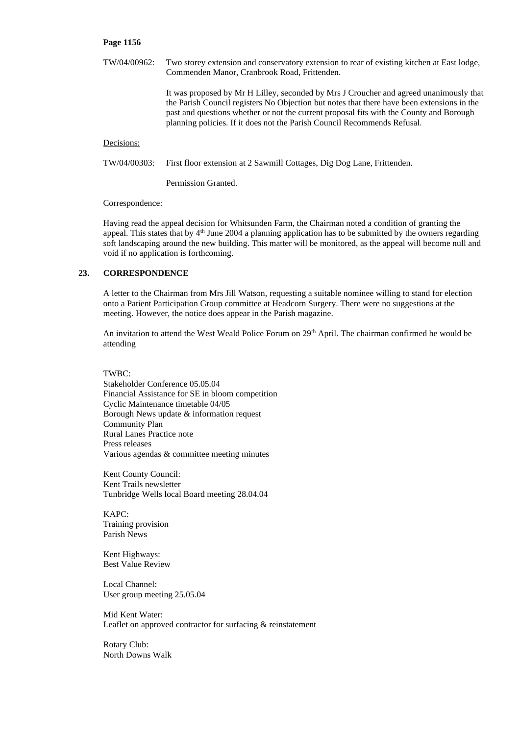TW/04/00962: Two storey extension and conservatory extension to rear of existing kitchen at East lodge, Commenden Manor, Cranbrook Road, Frittenden. It was proposed by Mr H Lilley, seconded by Mrs J Croucher and agreed unanimously that

the Parish Council registers No Objection but notes that there have been extensions in the past and questions whether or not the current proposal fits with the County and Borough planning policies. If it does not the Parish Council Recommends Refusal.

### Decisions:

TW/04/00303: First floor extension at 2 Sawmill Cottages, Dig Dog Lane, Frittenden.

Permission Granted.

#### Correspondence:

Having read the appeal decision for Whitsunden Farm, the Chairman noted a condition of granting the appeal. This states that by 4<sup>th</sup> June 2004 a planning application has to be submitted by the owners regarding soft landscaping around the new building. This matter will be monitored, as the appeal will become null and void if no application is forthcoming.

# **23. CORRESPONDENCE**

A letter to the Chairman from Mrs Jill Watson, requesting a suitable nominee willing to stand for election onto a Patient Participation Group committee at Headcorn Surgery. There were no suggestions at the meeting. However, the notice does appear in the Parish magazine.

An invitation to attend the West Weald Police Forum on 29<sup>th</sup> April. The chairman confirmed he would be attending

## TWBC:

Stakeholder Conference 05.05.04 Financial Assistance for SE in bloom competition Cyclic Maintenance timetable 04/05 Borough News update & information request Community Plan Rural Lanes Practice note Press releases Various agendas & committee meeting minutes

Kent County Council: Kent Trails newsletter Tunbridge Wells local Board meeting 28.04.04

KAPC: Training provision Parish News

Kent Highways: Best Value Review

Local Channel: User group meeting 25.05.04

Mid Kent Water: Leaflet on approved contractor for surfacing & reinstatement

Rotary Club: North Downs Walk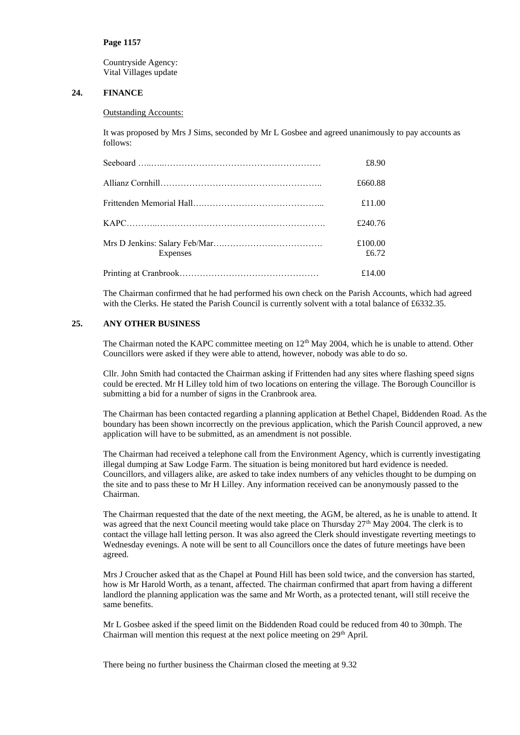Countryside Agency: Vital Villages update

# **24. FINANCE**

## Outstanding Accounts:

It was proposed by Mrs J Sims, seconded by Mr L Gosbee and agreed unanimously to pay accounts as follows:

|          | £8.90            |
|----------|------------------|
|          | £660.88          |
|          | £11.00           |
|          | £240.76          |
| Expenses | £100.00<br>£6.72 |
|          | £14.00           |

The Chairman confirmed that he had performed his own check on the Parish Accounts, which had agreed with the Clerks. He stated the Parish Council is currently solvent with a total balance of £6332.35.

# **25. ANY OTHER BUSINESS**

The Chairman noted the KAPC committee meeting on  $12<sup>th</sup>$  May 2004, which he is unable to attend. Other Councillors were asked if they were able to attend, however, nobody was able to do so.

Cllr. John Smith had contacted the Chairman asking if Frittenden had any sites where flashing speed signs could be erected. Mr H Lilley told him of two locations on entering the village. The Borough Councillor is submitting a bid for a number of signs in the Cranbrook area.

The Chairman has been contacted regarding a planning application at Bethel Chapel, Biddenden Road. As the boundary has been shown incorrectly on the previous application, which the Parish Council approved, a new application will have to be submitted, as an amendment is not possible.

The Chairman had received a telephone call from the Environment Agency, which is currently investigating illegal dumping at Saw Lodge Farm. The situation is being monitored but hard evidence is needed. Councillors, and villagers alike, are asked to take index numbers of any vehicles thought to be dumping on the site and to pass these to Mr H Lilley. Any information received can be anonymously passed to the Chairman.

The Chairman requested that the date of the next meeting, the AGM, be altered, as he is unable to attend. It was agreed that the next Council meeting would take place on Thursday 27<sup>th</sup> May 2004. The clerk is to contact the village hall letting person. It was also agreed the Clerk should investigate reverting meetings to Wednesday evenings. A note will be sent to all Councillors once the dates of future meetings have been agreed.

Mrs J Croucher asked that as the Chapel at Pound Hill has been sold twice, and the conversion has started, how is Mr Harold Worth, as a tenant, affected. The chairman confirmed that apart from having a different landlord the planning application was the same and Mr Worth, as a protected tenant, will still receive the same benefits.

Mr L Gosbee asked if the speed limit on the Biddenden Road could be reduced from 40 to 30mph. The Chairman will mention this request at the next police meeting on  $29<sup>th</sup>$  April.

There being no further business the Chairman closed the meeting at 9.32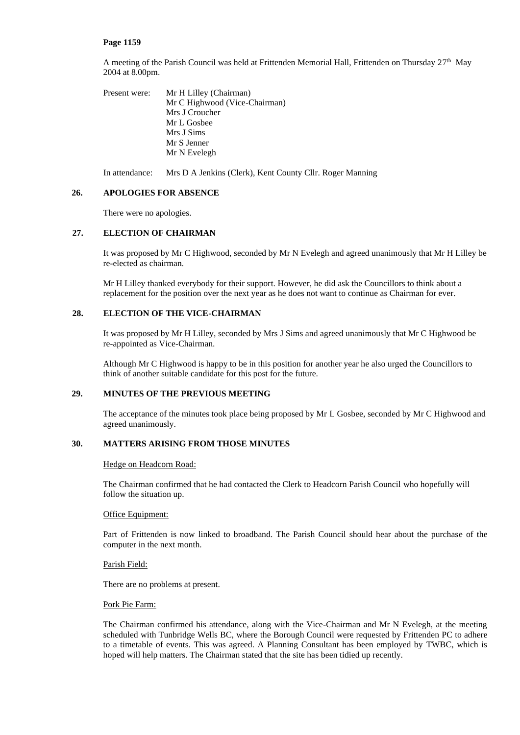A meeting of the Parish Council was held at Frittenden Memorial Hall, Frittenden on Thursday 27<sup>th</sup> May 2004 at 8.00pm.

Present were: Mr H Lilley (Chairman) Mr C Highwood (Vice-Chairman) Mrs J Croucher Mr L Gosbee Mrs J Sims Mr S Jenner Mr N Evelegh

In attendance: Mrs D A Jenkins (Clerk), Kent County Cllr. Roger Manning

## **26. APOLOGIES FOR ABSENCE**

There were no apologies.

# **27. ELECTION OF CHAIRMAN**

It was proposed by Mr C Highwood, seconded by Mr N Evelegh and agreed unanimously that Mr H Lilley be re-elected as chairman.

Mr H Lilley thanked everybody for their support. However, he did ask the Councillors to think about a replacement for the position over the next year as he does not want to continue as Chairman for ever.

# **28. ELECTION OF THE VICE-CHAIRMAN**

It was proposed by Mr H Lilley, seconded by Mrs J Sims and agreed unanimously that Mr C Highwood be re-appointed as Vice-Chairman.

Although Mr C Highwood is happy to be in this position for another year he also urged the Councillors to think of another suitable candidate for this post for the future.

# **29. MINUTES OF THE PREVIOUS MEETING**

The acceptance of the minutes took place being proposed by Mr L Gosbee, seconded by Mr C Highwood and agreed unanimously.

# **30. MATTERS ARISING FROM THOSE MINUTES**

### Hedge on Headcorn Road:

The Chairman confirmed that he had contacted the Clerk to Headcorn Parish Council who hopefully will follow the situation up.

### Office Equipment:

Part of Frittenden is now linked to broadband. The Parish Council should hear about the purchase of the computer in the next month.

### Parish Field:

There are no problems at present.

## Pork Pie Farm:

The Chairman confirmed his attendance, along with the Vice-Chairman and Mr N Evelegh, at the meeting scheduled with Tunbridge Wells BC, where the Borough Council were requested by Frittenden PC to adhere to a timetable of events. This was agreed. A Planning Consultant has been employed by TWBC, which is hoped will help matters. The Chairman stated that the site has been tidied up recently.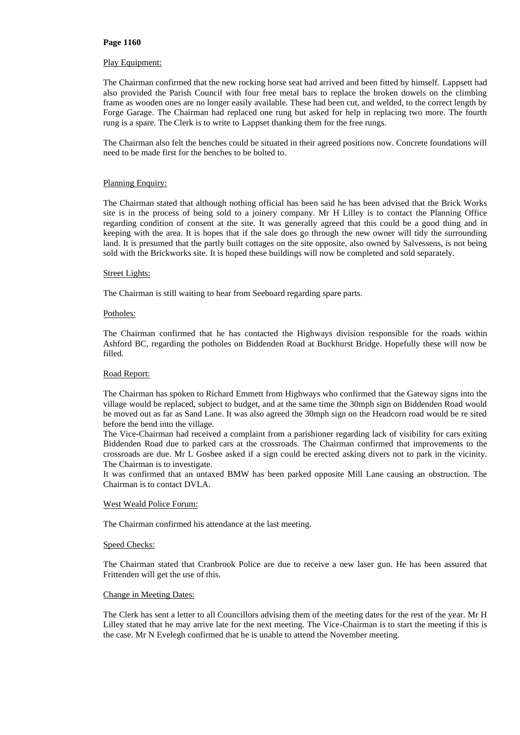### Play Equipment:

The Chairman confirmed that the new rocking horse seat had arrived and been fitted by himself. Lappsett had also provided the Parish Council with four free metal bars to replace the broken dowels on the climbing frame as wooden ones are no longer easily available. These had been cut, and welded, to the correct length by Forge Garage. The Chairman had replaced one rung but asked for help in replacing two more. The fourth rung is a spare. The Clerk is to write to Lappset thanking them for the free rungs.

The Chairman also felt the benches could be situated in their agreed positions now. Concrete foundations will need to be made first for the benches to be bolted to.

### Planning Enquiry:

The Chairman stated that although nothing official has been said he has been advised that the Brick Works site is in the process of being sold to a joinery company. Mr H Lilley is to contact the Planning Office regarding condition of consent at the site. It was generally agreed that this could be a good thing and in keeping with the area. It is hopes that if the sale does go through the new owner will tidy the surrounding land. It is presumed that the partly built cottages on the site opposite, also owned by Salvessens, is not being sold with the Brickworks site. It is hoped these buildings will now be completed and sold separately.

#### Street Lights:

The Chairman is still waiting to hear from Seeboard regarding spare parts.

### Potholes:

The Chairman confirmed that he has contacted the Highways division responsible for the roads within Ashford BC, regarding the potholes on Biddenden Road at Buckhurst Bridge. Hopefully these will now be filled.

#### Road Report:

The Chairman has spoken to Richard Emmett from Highways who confirmed that the Gateway signs into the village would be replaced, subject to budget, and at the same time the 30mph sign on Biddenden Road would be moved out as far as Sand Lane. It was also agreed the 30mph sign on the Headcorn road would be re sited before the bend into the village.

The Vice-Chairman had received a complaint from a parishioner regarding lack of visibility for cars exiting Biddenden Road due to parked cars at the crossroads. The Chairman confirmed that improvements to the crossroads are due. Mr L Gosbee asked if a sign could be erected asking divers not to park in the vicinity. The Chairman is to investigate.

It was confirmed that an untaxed BMW has been parked opposite Mill Lane causing an obstruction. The Chairman is to contact DVLA.

### West Weald Police Forum:

The Chairman confirmed his attendance at the last meeting.

#### Speed Checks:

The Chairman stated that Cranbrook Police are due to receive a new laser gun. He has been assured that Frittenden will get the use of this.

#### Change in Meeting Dates:

The Clerk has sent a letter to all Councillors advising them of the meeting dates for the rest of the year. Mr H Lilley stated that he may arrive late for the next meeting. The Vice-Chairman is to start the meeting if this is the case. Mr N Evelegh confirmed that he is unable to attend the November meeting.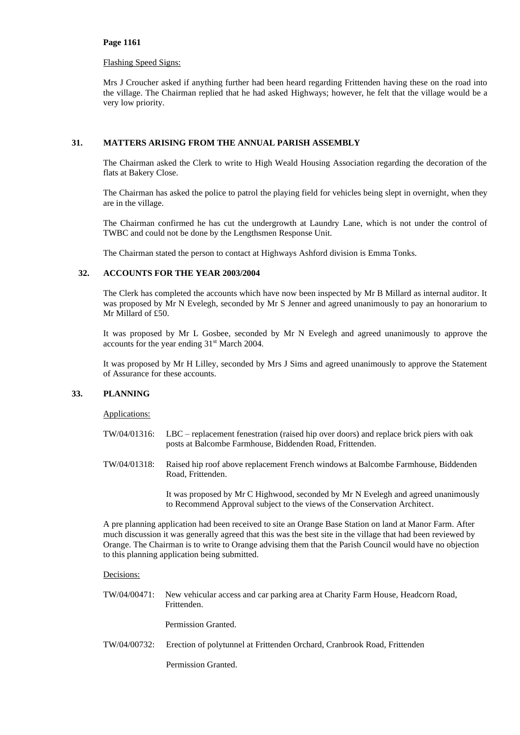## Flashing Speed Signs:

Mrs J Croucher asked if anything further had been heard regarding Frittenden having these on the road into the village. The Chairman replied that he had asked Highways; however, he felt that the village would be a very low priority.

# **31. MATTERS ARISING FROM THE ANNUAL PARISH ASSEMBLY**

The Chairman asked the Clerk to write to High Weald Housing Association regarding the decoration of the flats at Bakery Close.

The Chairman has asked the police to patrol the playing field for vehicles being slept in overnight, when they are in the village.

The Chairman confirmed he has cut the undergrowth at Laundry Lane, which is not under the control of TWBC and could not be done by the Lengthsmen Response Unit.

The Chairman stated the person to contact at Highways Ashford division is Emma Tonks.

# **32. ACCOUNTS FOR THE YEAR 2003/2004**

The Clerk has completed the accounts which have now been inspected by Mr B Millard as internal auditor. It was proposed by Mr N Evelegh, seconded by Mr S Jenner and agreed unanimously to pay an honorarium to Mr Millard of £50.

It was proposed by Mr L Gosbee, seconded by Mr N Evelegh and agreed unanimously to approve the accounts for the year ending 31st March 2004.

It was proposed by Mr H Lilley, seconded by Mrs J Sims and agreed unanimously to approve the Statement of Assurance for these accounts.

# **33. PLANNING**

Applications:

- TW/04/01316: LBC replacement fenestration (raised hip over doors) and replace brick piers with oak posts at Balcombe Farmhouse, Biddenden Road, Frittenden.
- TW/04/01318: Raised hip roof above replacement French windows at Balcombe Farmhouse, Biddenden Road, Frittenden.

It was proposed by Mr C Highwood, seconded by Mr N Evelegh and agreed unanimously to Recommend Approval subject to the views of the Conservation Architect.

A pre planning application had been received to site an Orange Base Station on land at Manor Farm. After much discussion it was generally agreed that this was the best site in the village that had been reviewed by Orange. The Chairman is to write to Orange advising them that the Parish Council would have no objection to this planning application being submitted.

# Decisions:

TW/04/00471: New vehicular access and car parking area at Charity Farm House, Headcorn Road, Frittenden.

Permission Granted.

TW/04/00732: Erection of polytunnel at Frittenden Orchard, Cranbrook Road, Frittenden

Permission Granted.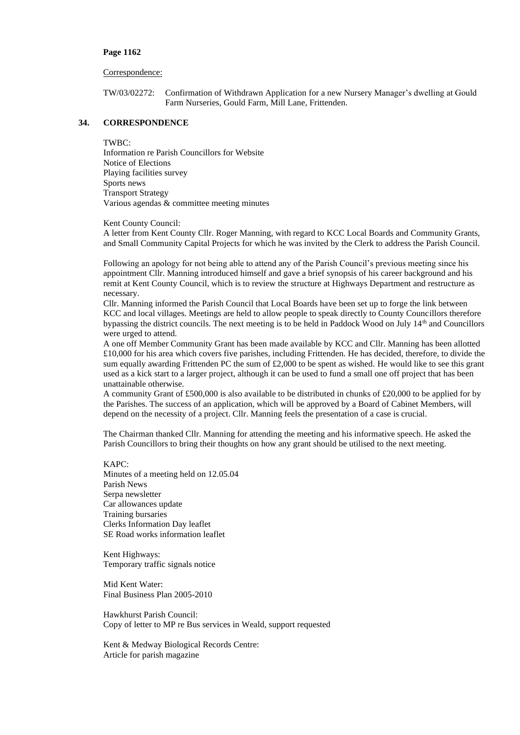#### Correspondence:

TW/03/02272: Confirmation of Withdrawn Application for a new Nursery Manager's dwelling at Gould Farm Nurseries, Gould Farm, Mill Lane, Frittenden.

# **34. CORRESPONDENCE**

# TWBC:

Information re Parish Councillors for Website Notice of Elections Playing facilities survey Sports news Transport Strategy Various agendas & committee meeting minutes

Kent County Council:

A letter from Kent County Cllr. Roger Manning, with regard to KCC Local Boards and Community Grants, and Small Community Capital Projects for which he was invited by the Clerk to address the Parish Council.

Following an apology for not being able to attend any of the Parish Council's previous meeting since his appointment Cllr. Manning introduced himself and gave a brief synopsis of his career background and his remit at Kent County Council, which is to review the structure at Highways Department and restructure as necessary.

Cllr. Manning informed the Parish Council that Local Boards have been set up to forge the link between KCC and local villages. Meetings are held to allow people to speak directly to County Councillors therefore bypassing the district councils. The next meeting is to be held in Paddock Wood on July 14th and Councillors were urged to attend.

A one off Member Community Grant has been made available by KCC and Cllr. Manning has been allotted £10,000 for his area which covers five parishes, including Frittenden. He has decided, therefore, to divide the sum equally awarding Frittenden PC the sum of £2,000 to be spent as wished. He would like to see this grant used as a kick start to a larger project, although it can be used to fund a small one off project that has been unattainable otherwise.

A community Grant of £500,000 is also available to be distributed in chunks of £20,000 to be applied for by the Parishes. The success of an application, which will be approved by a Board of Cabinet Members, will depend on the necessity of a project. Cllr. Manning feels the presentation of a case is crucial.

The Chairman thanked Cllr. Manning for attending the meeting and his informative speech. He asked the Parish Councillors to bring their thoughts on how any grant should be utilised to the next meeting.

 $KAPC$ Minutes of a meeting held on 12.05.04 Parish News Serpa newsletter Car allowances update Training bursaries Clerks Information Day leaflet SE Road works information leaflet

Kent Highways: Temporary traffic signals notice

Mid Kent Water: Final Business Plan 2005-2010

Hawkhurst Parish Council: Copy of letter to MP re Bus services in Weald, support requested

Kent & Medway Biological Records Centre: Article for parish magazine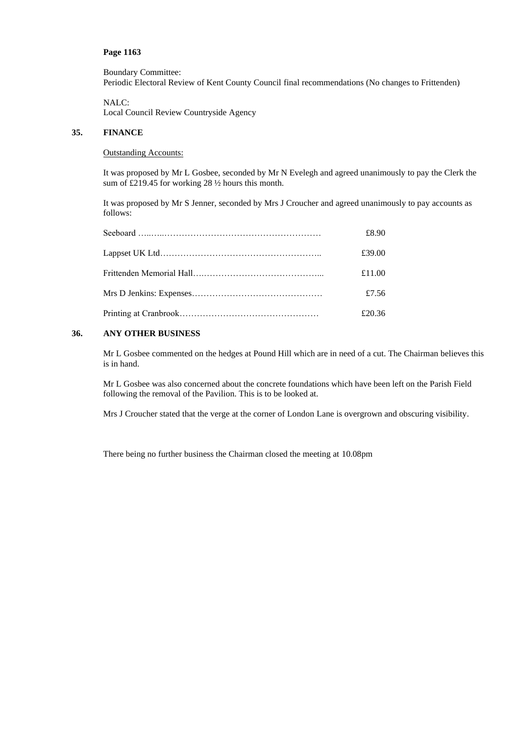Boundary Committee:

Periodic Electoral Review of Kent County Council final recommendations (No changes to Frittenden)

NALC: Local Council Review Countryside Agency

# **35. FINANCE**

# Outstanding Accounts:

It was proposed by Mr L Gosbee, seconded by Mr N Evelegh and agreed unanimously to pay the Clerk the sum of £219.45 for working 28 ½ hours this month.

It was proposed by Mr S Jenner, seconded by Mrs J Croucher and agreed unanimously to pay accounts as follows:

| £8.90  |
|--------|
| £39.00 |
| £11.00 |
| £7.56  |
| £20.36 |

# **36. ANY OTHER BUSINESS**

Mr L Gosbee commented on the hedges at Pound Hill which are in need of a cut. The Chairman believes this is in hand.

Mr L Gosbee was also concerned about the concrete foundations which have been left on the Parish Field following the removal of the Pavilion. This is to be looked at.

Mrs J Croucher stated that the verge at the corner of London Lane is overgrown and obscuring visibility.

There being no further business the Chairman closed the meeting at 10.08pm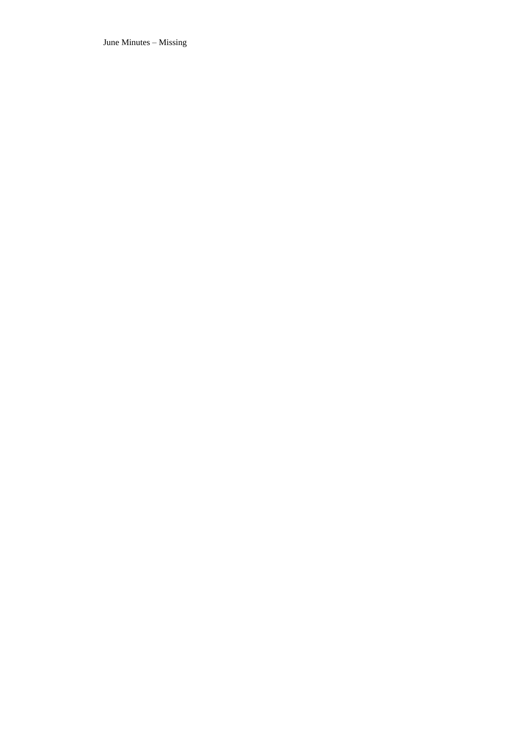June Minutes – Missing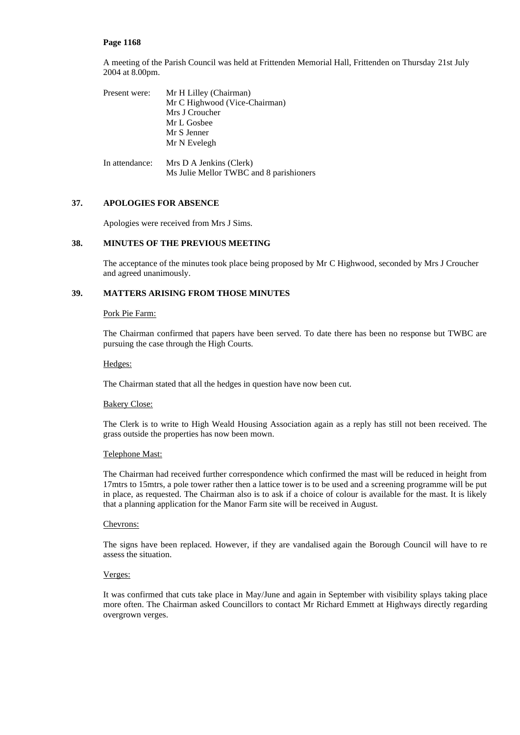A meeting of the Parish Council was held at Frittenden Memorial Hall, Frittenden on Thursday 21st July 2004 at 8.00pm.

| Present were:  | Mr H Lilley (Chairman)<br>Mr C Highwood (Vice-Chairman) |
|----------------|---------------------------------------------------------|
|                | Mrs J Croucher                                          |
|                | Mr L Gosbee                                             |
|                | Mr S Jenner                                             |
|                | Mr N Evelegh                                            |
|                |                                                         |
| In attendance: | Mrs D A Jenkins (Clerk)                                 |
|                | Ms Julie Mellor TWBC and 8 parishioners                 |

# **37. APOLOGIES FOR ABSENCE**

Apologies were received from Mrs J Sims.

# **38. MINUTES OF THE PREVIOUS MEETING**

The acceptance of the minutes took place being proposed by Mr C Highwood, seconded by Mrs J Croucher and agreed unanimously.

# **39. MATTERS ARISING FROM THOSE MINUTES**

### Pork Pie Farm:

The Chairman confirmed that papers have been served. To date there has been no response but TWBC are pursuing the case through the High Courts.

Hedges:

The Chairman stated that all the hedges in question have now been cut.

#### Bakery Close:

The Clerk is to write to High Weald Housing Association again as a reply has still not been received. The grass outside the properties has now been mown.

### Telephone Mast:

The Chairman had received further correspondence which confirmed the mast will be reduced in height from 17mtrs to 15mtrs, a pole tower rather then a lattice tower is to be used and a screening programme will be put in place, as requested. The Chairman also is to ask if a choice of colour is available for the mast. It is likely that a planning application for the Manor Farm site will be received in August.

### Chevrons:

The signs have been replaced. However, if they are vandalised again the Borough Council will have to re assess the situation.

#### Verges:

It was confirmed that cuts take place in May/June and again in September with visibility splays taking place more often. The Chairman asked Councillors to contact Mr Richard Emmett at Highways directly regarding overgrown verges.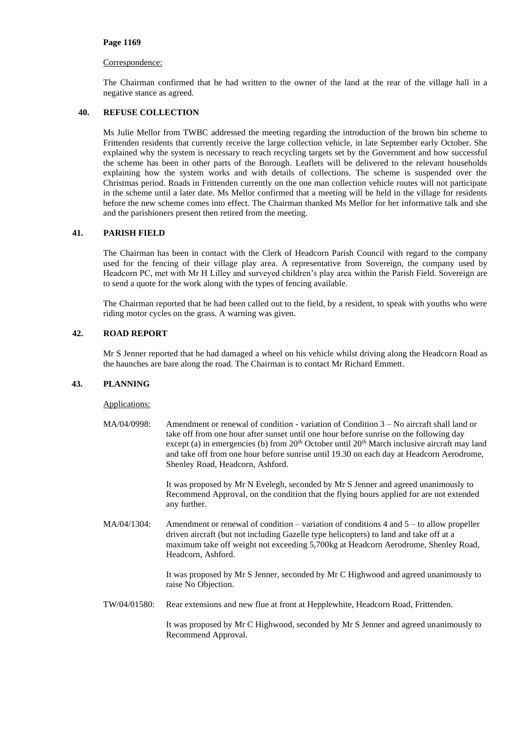## Correspondence:

The Chairman confirmed that he had written to the owner of the land at the rear of the village hall in a negative stance as agreed.

# **40. REFUSE COLLECTION**

Ms Julie Mellor from TWBC addressed the meeting regarding the introduction of the brown bin scheme to Frittenden residents that currently receive the large collection vehicle, in late September early October. She explained why the system is necessary to reach recycling targets set by the Government and how successful the scheme has been in other parts of the Borough. Leaflets will be delivered to the relevant households explaining how the system works and with details of collections. The scheme is suspended over the Christmas period. Roads in Frittenden currently on the one man collection vehicle routes will not participate in the scheme until a later date. Ms Mellor confirmed that a meeting will be held in the village for residents before the new scheme comes into effect. The Chairman thanked Ms Mellor for her informative talk and she and the parishioners present then retired from the meeting.

# **41. PARISH FIELD**

The Chairman has been in contact with the Clerk of Headcorn Parish Council with regard to the company used for the fencing of their village play area. A representative from Sovereign, the company used by Headcorn PC, met with Mr H Lilley and surveyed children's play area within the Parish Field. Sovereign are to send a quote for the work along with the types of fencing available.

The Chairman reported that he had been called out to the field, by a resident, to speak with youths who were riding motor cycles on the grass. A warning was given.

# **42. ROAD REPORT**

Mr S Jenner reported that he had damaged a wheel on his vehicle whilst driving along the Headcorn Road as the haunches are bare along the road. The Chairman is to contact Mr Richard Emmett.

### **43. PLANNING**

### Applications:

MA/04/0998: Amendment or renewal of condition - variation of Condition 3 – No aircraft shall land or take off from one hour after sunset until one hour before sunrise on the following day except (a) in emergencies (b) from  $20<sup>th</sup>$  October until  $20<sup>th</sup>$  March inclusive aircraft may land and take off from one hour before sunrise until 19.30 on each day at Headcorn Aerodrome, Shenley Road, Headcorn, Ashford.

> It was proposed by Mr N Evelegh, seconded by Mr S Jenner and agreed unanimously to Recommend Approval, on the condition that the flying hours applied for are not extended any further.

MA/04/1304: Amendment or renewal of condition – variation of conditions 4 and  $5 -$  to allow propeller driven aircraft (but not including Gazelle type helicopters) to land and take off at a maximum take off weight not exceeding 5,700kg at Headcorn Aerodrome, Shenley Road, Headcorn, Ashford.

> It was proposed by Mr S Jenner, seconded by Mr C Highwood and agreed unanimously to raise No Objection.

TW/04/01580: Rear extensions and new flue at front at Hepplewhite, Headcorn Road, Frittenden.

It was proposed by Mr C Highwood, seconded by Mr S Jenner and agreed unanimously to Recommend Approval.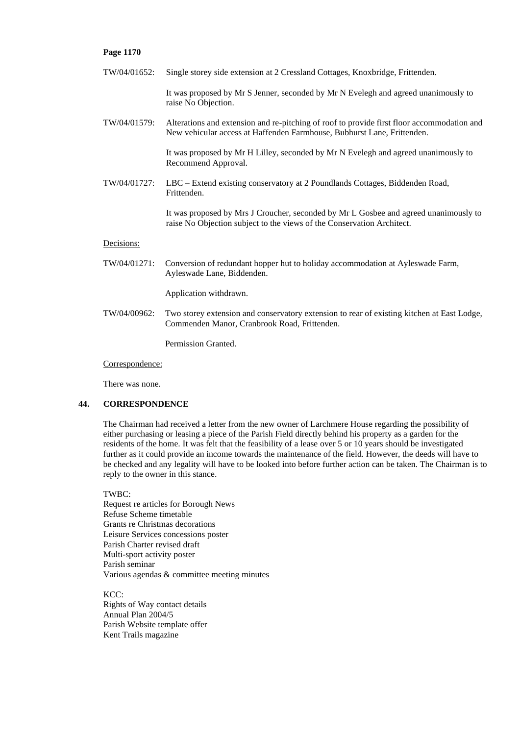TW/04/01652: Single storey side extension at 2 Cressland Cottages, Knoxbridge, Frittenden.

It was proposed by Mr S Jenner, seconded by Mr N Evelegh and agreed unanimously to raise No Objection.

TW/04/01579: Alterations and extension and re-pitching of roof to provide first floor accommodation and New vehicular access at Haffenden Farmhouse, Bubhurst Lane, Frittenden.

> It was proposed by Mr H Lilley, seconded by Mr N Evelegh and agreed unanimously to Recommend Approval.

TW/04/01727: LBC – Extend existing conservatory at 2 Poundlands Cottages, Biddenden Road, Frittenden.

> It was proposed by Mrs J Croucher, seconded by Mr L Gosbee and agreed unanimously to raise No Objection subject to the views of the Conservation Architect.

# Decisions:

TW/04/01271: Conversion of redundant hopper hut to holiday accommodation at Ayleswade Farm, Ayleswade Lane, Biddenden.

Application withdrawn.

TW/04/00962: Two storey extension and conservatory extension to rear of existing kitchen at East Lodge, Commenden Manor, Cranbrook Road, Frittenden.

Permission Granted.

#### Correspondence:

There was none.

# **44. CORRESPONDENCE**

The Chairman had received a letter from the new owner of Larchmere House regarding the possibility of either purchasing or leasing a piece of the Parish Field directly behind his property as a garden for the residents of the home. It was felt that the feasibility of a lease over 5 or 10 years should be investigated further as it could provide an income towards the maintenance of the field. However, the deeds will have to be checked and any legality will have to be looked into before further action can be taken. The Chairman is to reply to the owner in this stance.

### TWBC:

Request re articles for Borough News Refuse Scheme timetable Grants re Christmas decorations Leisure Services concessions poster Parish Charter revised draft Multi-sport activity poster Parish seminar Various agendas & committee meeting minutes

KCC: Rights of Way contact details Annual Plan 2004/5 Parish Website template offer Kent Trails magazine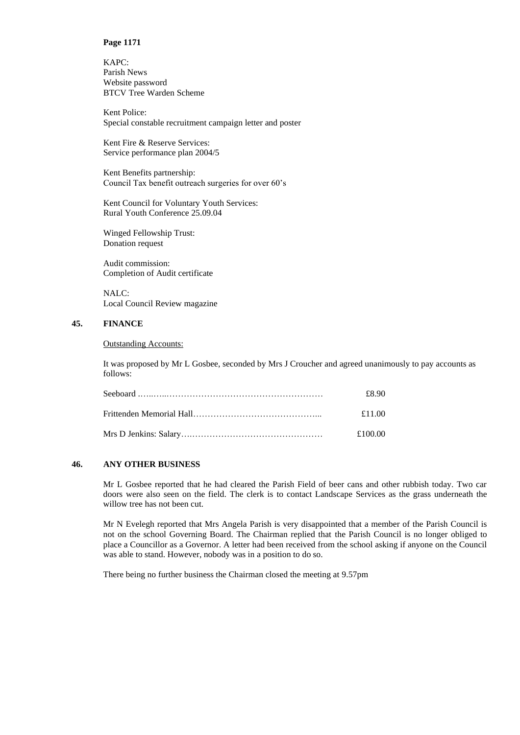KAPC: Parish News Website password BTCV Tree Warden Scheme

Kent Police: Special constable recruitment campaign letter and poster

Kent Fire & Reserve Services: Service performance plan 2004/5

Kent Benefits partnership: Council Tax benefit outreach surgeries for over 60's

Kent Council for Voluntary Youth Services: Rural Youth Conference 25.09.04

Winged Fellowship Trust: Donation request

Audit commission: Completion of Audit certificate

NALC: Local Council Review magazine

# **45. FINANCE**

# Outstanding Accounts:

It was proposed by Mr L Gosbee, seconded by Mrs J Croucher and agreed unanimously to pay accounts as follows:

| £8.90   |
|---------|
| £11.00  |
| £100.00 |

# **46. ANY OTHER BUSINESS**

Mr L Gosbee reported that he had cleared the Parish Field of beer cans and other rubbish today. Two car doors were also seen on the field. The clerk is to contact Landscape Services as the grass underneath the willow tree has not been cut.

Mr N Evelegh reported that Mrs Angela Parish is very disappointed that a member of the Parish Council is not on the school Governing Board. The Chairman replied that the Parish Council is no longer obliged to place a Councillor as a Governor. A letter had been received from the school asking if anyone on the Council was able to stand. However, nobody was in a position to do so.

There being no further business the Chairman closed the meeting at 9.57pm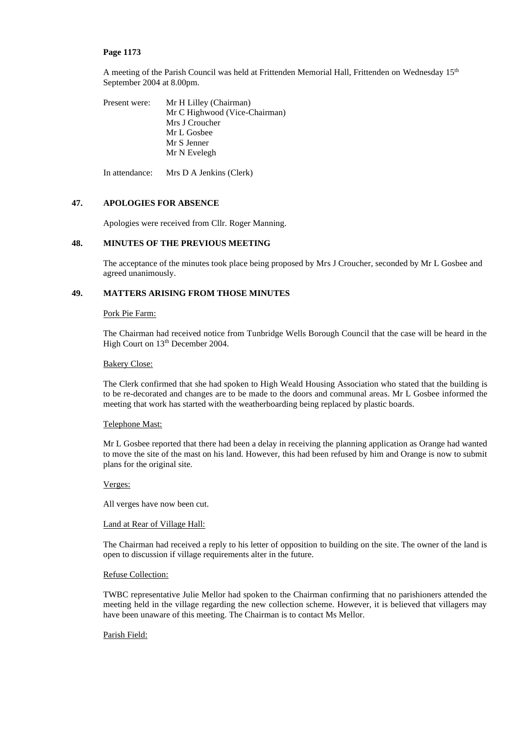A meeting of the Parish Council was held at Frittenden Memorial Hall, Frittenden on Wednesday 15<sup>th</sup> September 2004 at 8.00pm.

Present were: Mr H Lilley (Chairman) Mr C Highwood (Vice-Chairman) Mrs J Croucher Mr L Gosbee Mr S Jenner Mr N Evelegh

In attendance: Mrs D A Jenkins (Clerk)

# **47. APOLOGIES FOR ABSENCE**

Apologies were received from Cllr. Roger Manning.

# **48. MINUTES OF THE PREVIOUS MEETING**

The acceptance of the minutes took place being proposed by Mrs J Croucher, seconded by Mr L Gosbee and agreed unanimously.

# **49. MATTERS ARISING FROM THOSE MINUTES**

### Pork Pie Farm:

The Chairman had received notice from Tunbridge Wells Borough Council that the case will be heard in the High Court on 13<sup>th</sup> December 2004.

### Bakery Close:

The Clerk confirmed that she had spoken to High Weald Housing Association who stated that the building is to be re-decorated and changes are to be made to the doors and communal areas. Mr L Gosbee informed the meeting that work has started with the weatherboarding being replaced by plastic boards.

# Telephone Mast:

Mr L Gosbee reported that there had been a delay in receiving the planning application as Orange had wanted to move the site of the mast on his land. However, this had been refused by him and Orange is now to submit plans for the original site.

### Verges:

All verges have now been cut.

#### Land at Rear of Village Hall:

The Chairman had received a reply to his letter of opposition to building on the site. The owner of the land is open to discussion if village requirements alter in the future.

#### Refuse Collection:

TWBC representative Julie Mellor had spoken to the Chairman confirming that no parishioners attended the meeting held in the village regarding the new collection scheme. However, it is believed that villagers may have been unaware of this meeting. The Chairman is to contact Ms Mellor.

### Parish Field: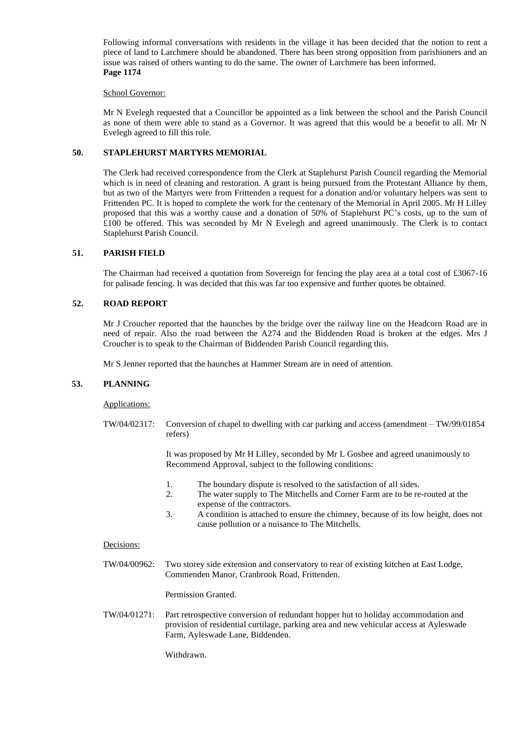Following informal conversations with residents in the village it has been decided that the notion to rent a piece of land to Larchmere should be abandoned. There has been strong opposition from parishioners and an issue was raised of others wanting to do the same. The owner of Larchmere has been informed. **Page 1174**

### School Governor:

Mr N Evelegh requested that a Councillor be appointed as a link between the school and the Parish Council as none of them were able to stand as a Governor. It was agreed that this would be a benefit to all. Mr N Evelegh agreed to fill this role.

# **50. STAPLEHURST MARTYRS MEMORIAL**

The Clerk had received correspondence from the Clerk at Staplehurst Parish Council regarding the Memorial which is in need of cleaning and restoration. A grant is being pursued from the Protestant Alliance by them, but as two of the Martyrs were from Frittenden a request for a donation and/or voluntary helpers was sent to Frittenden PC. It is hoped to complete the work for the centenary of the Memorial in April 2005. Mr H Lilley proposed that this was a worthy cause and a donation of 50% of Staplehurst PC's costs, up to the sum of £100 be offered. This was seconded by Mr N Evelegh and agreed unanimously. The Clerk is to contact Staplehurst Parish Council.

# **51. PARISH FIELD**

The Chairman had received a quotation from Sovereign for fencing the play area at a total cost of £3067-16 for palisade fencing. It was decided that this was far too expensive and further quotes be obtained.

# **52. ROAD REPORT**

Mr J Croucher reported that the haunches by the bridge over the railway line on the Headcorn Road are in need of repair. Also the road between the A274 and the Biddenden Road is broken at the edges. Mrs J Croucher is to speak to the Chairman of Biddenden Parish Council regarding this.

Mr S Jenner reported that the haunches at Hammer Stream are in need of attention.

# **53. PLANNING**

Applications:

TW/04/02317: Conversion of chapel to dwelling with car parking and access (amendment – TW/99/01854 refers)

> It was proposed by Mr H Lilley, seconded by Mr L Gosbee and agreed unanimously to Recommend Approval, subject to the following conditions:

- 1. The boundary dispute is resolved to the satisfaction of all sides.
- 2. The water supply to The Mitchells and Corner Farm are to be re-routed at the expense of the contractors.
- 3. A condition is attached to ensure the chimney, because of its low height, does not cause pollution or a nuisance to The Mitchells.

### Decisions:

TW/04/00962: Two storey side extension and conservatory to rear of existing kitchen at East Lodge, Commenden Manor, Cranbrook Road, Frittenden.

Permission Granted.

TW/04/01271: Part retrospective conversion of redundant hopper hut to holiday accommodation and provision of residential curtilage, parking area and new vehicular access at Ayleswade Farm, Ayleswade Lane, Biddenden.

Withdrawn.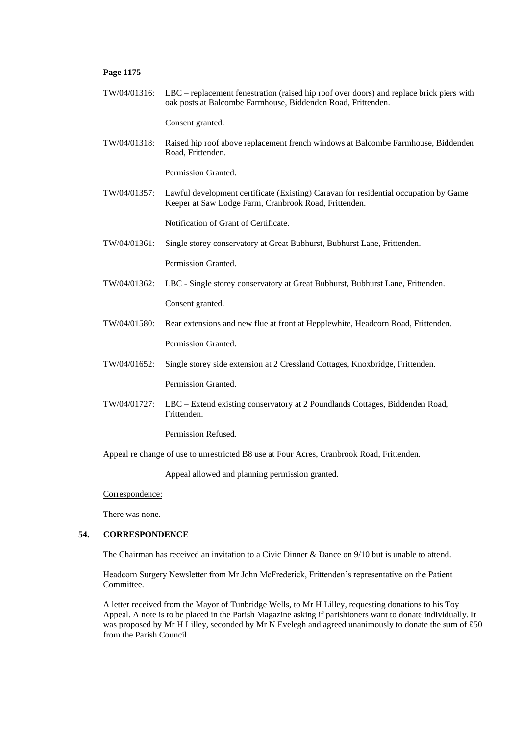TW/04/01316: LBC – replacement fenestration (raised hip roof over doors) and replace brick piers with oak posts at Balcombe Farmhouse, Biddenden Road, Frittenden.

Consent granted.

TW/04/01318: Raised hip roof above replacement french windows at Balcombe Farmhouse, Biddenden Road, Frittenden.

Permission Granted.

TW/04/01357: Lawful development certificate (Existing) Caravan for residential occupation by Game Keeper at Saw Lodge Farm, Cranbrook Road, Frittenden.

Notification of Grant of Certificate.

TW/04/01361: Single storey conservatory at Great Bubhurst, Bubhurst Lane, Frittenden.

Permission Granted.

TW/04/01362: LBC - Single storey conservatory at Great Bubhurst, Bubhurst Lane, Frittenden.

Consent granted.

- TW/04/01580: Rear extensions and new flue at front at Hepplewhite, Headcorn Road, Frittenden. Permission Granted.
- TW/04/01652: Single storey side extension at 2 Cressland Cottages, Knoxbridge, Frittenden.

Permission Granted.

TW/04/01727: LBC – Extend existing conservatory at 2 Poundlands Cottages, Biddenden Road, Frittenden.

Permission Refused.

Appeal re change of use to unrestricted B8 use at Four Acres, Cranbrook Road, Frittenden.

Appeal allowed and planning permission granted.

Correspondence:

There was none.

### **54. CORRESPONDENCE**

The Chairman has received an invitation to a Civic Dinner & Dance on 9/10 but is unable to attend.

Headcorn Surgery Newsletter from Mr John McFrederick, Frittenden's representative on the Patient Committee.

A letter received from the Mayor of Tunbridge Wells, to Mr H Lilley, requesting donations to his Toy Appeal. A note is to be placed in the Parish Magazine asking if parishioners want to donate individually. It was proposed by Mr H Lilley, seconded by Mr N Evelegh and agreed unanimously to donate the sum of £50 from the Parish Council.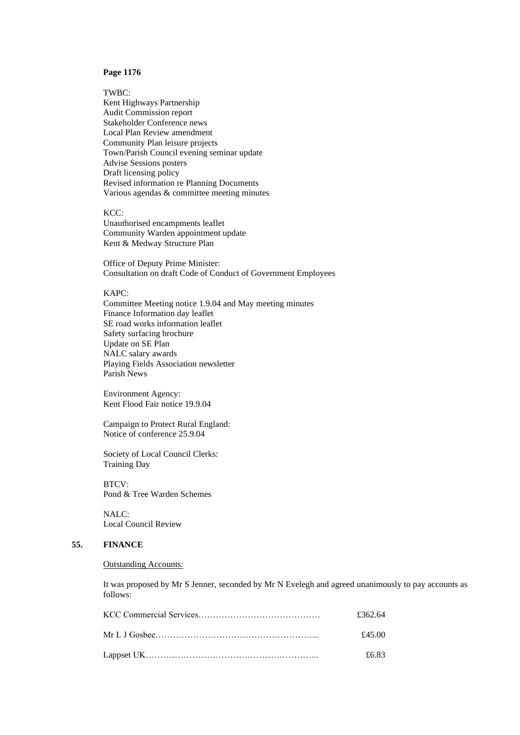TWBC: Kent Highways Partnership Audit Commission report Stakeholder Conference news Local Plan Review amendment Community Plan leisure projects Town/Parish Council evening seminar update Advise Sessions posters Draft licensing policy Revised information re Planning Documents Various agendas & committee meeting minutes

KCC: Unauthorised encampments leaflet Community Warden appointment update Kent & Medway Structure Plan

Office of Deputy Prime Minister: Consultation on draft Code of Conduct of Government Employees

### KAPC:

Committee Meeting notice 1.9.04 and May meeting minutes Finance Information day leaflet SE road works information leaflet Safety surfacing brochure Update on SE Plan NALC salary awards Playing Fields Association newsletter Parish News

Environment Agency: Kent Flood Fair notice 19.9.04

Campaign to Protect Rural England: Notice of conference 25.9.04

Society of Local Council Clerks: Training Day

BTCV: Pond & Tree Warden Schemes

NALC: Local Council Review

# **55. FINANCE**

### Outstanding Accounts:

It was proposed by Mr S Jenner, seconded by Mr N Evelegh and agreed unanimously to pay accounts as follows:

| £362.64 |
|---------|
| £45.00  |
| £6.83   |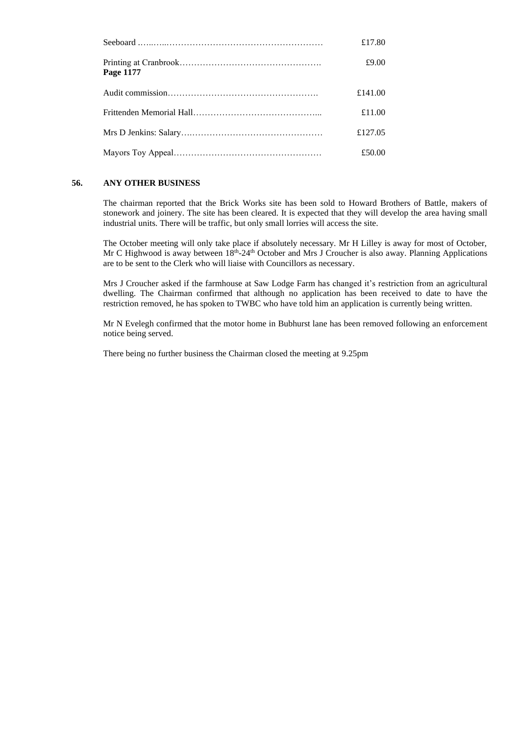|           | £17.80  |
|-----------|---------|
| Page 1177 | £9.00   |
|           | £141.00 |
|           | £11.00  |
|           | £127.05 |
|           | £50.00  |

# **56. ANY OTHER BUSINESS**

The chairman reported that the Brick Works site has been sold to Howard Brothers of Battle, makers of stonework and joinery. The site has been cleared. It is expected that they will develop the area having small industrial units. There will be traffic, but only small lorries will access the site.

The October meeting will only take place if absolutely necessary. Mr H Lilley is away for most of October, Mr C Highwood is away between 18<sup>th</sup>-24<sup>th</sup> October and Mrs J Croucher is also away. Planning Applications are to be sent to the Clerk who will liaise with Councillors as necessary.

Mrs J Croucher asked if the farmhouse at Saw Lodge Farm has changed it's restriction from an agricultural dwelling. The Chairman confirmed that although no application has been received to date to have the restriction removed, he has spoken to TWBC who have told him an application is currently being written.

Mr N Evelegh confirmed that the motor home in Bubhurst lane has been removed following an enforcement notice being served.

There being no further business the Chairman closed the meeting at 9.25pm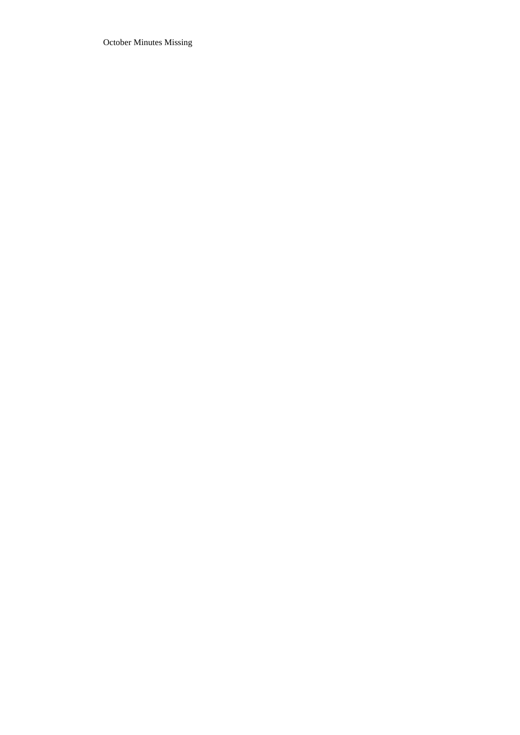October Minutes Missing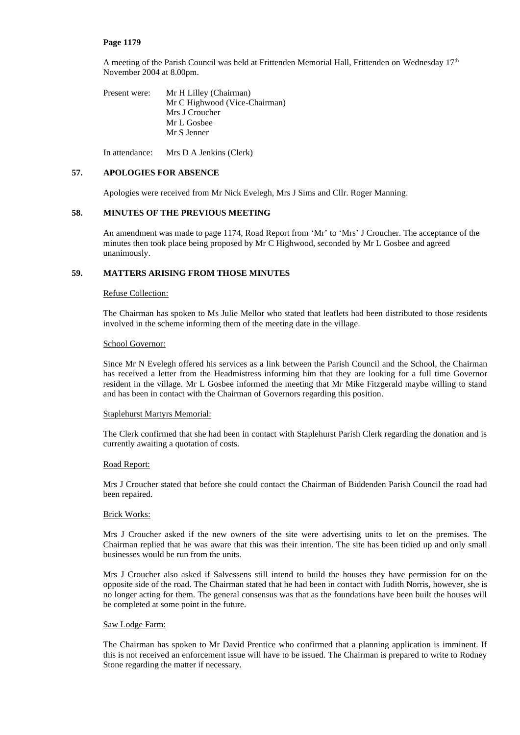A meeting of the Parish Council was held at Frittenden Memorial Hall, Frittenden on Wednesday 17<sup>th</sup> November 2004 at 8.00pm.

Present were: Mr H Lilley (Chairman) Mr C Highwood (Vice-Chairman) Mrs J Croucher Mr L Gosbee Mr S Jenner

In attendance: Mrs D A Jenkins (Clerk)

# **57. APOLOGIES FOR ABSENCE**

Apologies were received from Mr Nick Evelegh, Mrs J Sims and Cllr. Roger Manning.

# **58. MINUTES OF THE PREVIOUS MEETING**

An amendment was made to page 1174, Road Report from 'Mr' to 'Mrs' J Croucher. The acceptance of the minutes then took place being proposed by Mr C Highwood, seconded by Mr L Gosbee and agreed unanimously.

# **59. MATTERS ARISING FROM THOSE MINUTES**

### Refuse Collection:

The Chairman has spoken to Ms Julie Mellor who stated that leaflets had been distributed to those residents involved in the scheme informing them of the meeting date in the village.

### School Governor:

Since Mr N Evelegh offered his services as a link between the Parish Council and the School, the Chairman has received a letter from the Headmistress informing him that they are looking for a full time Governor resident in the village. Mr L Gosbee informed the meeting that Mr Mike Fitzgerald maybe willing to stand and has been in contact with the Chairman of Governors regarding this position.

### Staplehurst Martyrs Memorial:

The Clerk confirmed that she had been in contact with Staplehurst Parish Clerk regarding the donation and is currently awaiting a quotation of costs.

### Road Report:

Mrs J Croucher stated that before she could contact the Chairman of Biddenden Parish Council the road had been repaired.

### Brick Works:

Mrs J Croucher asked if the new owners of the site were advertising units to let on the premises. The Chairman replied that he was aware that this was their intention. The site has been tidied up and only small businesses would be run from the units.

Mrs J Croucher also asked if Salvessens still intend to build the houses they have permission for on the opposite side of the road. The Chairman stated that he had been in contact with Judith Norris, however, she is no longer acting for them. The general consensus was that as the foundations have been built the houses will be completed at some point in the future.

### Saw Lodge Farm:

The Chairman has spoken to Mr David Prentice who confirmed that a planning application is imminent. If this is not received an enforcement issue will have to be issued. The Chairman is prepared to write to Rodney Stone regarding the matter if necessary.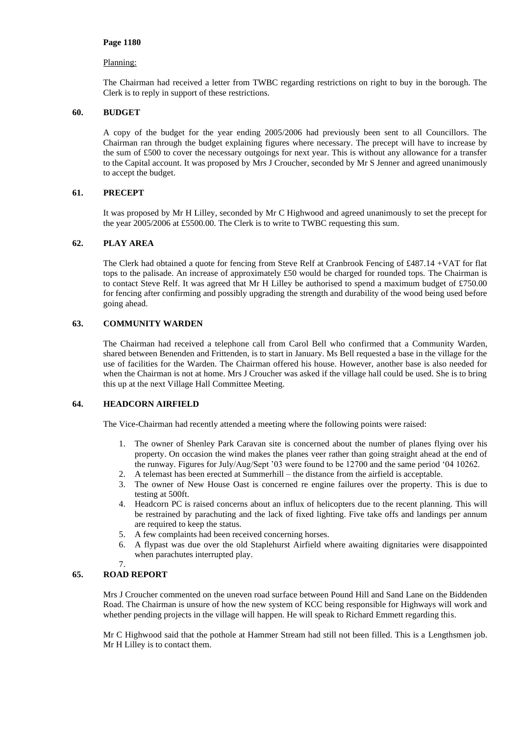# Planning:

The Chairman had received a letter from TWBC regarding restrictions on right to buy in the borough. The Clerk is to reply in support of these restrictions.

# **60. BUDGET**

A copy of the budget for the year ending 2005/2006 had previously been sent to all Councillors. The Chairman ran through the budget explaining figures where necessary. The precept will have to increase by the sum of £500 to cover the necessary outgoings for next year. This is without any allowance for a transfer to the Capital account. It was proposed by Mrs J Croucher, seconded by Mr S Jenner and agreed unanimously to accept the budget.

# **61. PRECEPT**

It was proposed by Mr H Lilley, seconded by Mr C Highwood and agreed unanimously to set the precept for the year 2005/2006 at £5500.00. The Clerk is to write to TWBC requesting this sum.

# **62. PLAY AREA**

The Clerk had obtained a quote for fencing from Steve Relf at Cranbrook Fencing of £487.14 +VAT for flat tops to the palisade. An increase of approximately £50 would be charged for rounded tops. The Chairman is to contact Steve Relf. It was agreed that Mr H Lilley be authorised to spend a maximum budget of £750.00 for fencing after confirming and possibly upgrading the strength and durability of the wood being used before going ahead.

# **63. COMMUNITY WARDEN**

The Chairman had received a telephone call from Carol Bell who confirmed that a Community Warden, shared between Benenden and Frittenden, is to start in January. Ms Bell requested a base in the village for the use of facilities for the Warden. The Chairman offered his house. However, another base is also needed for when the Chairman is not at home. Mrs J Croucher was asked if the village hall could be used. She is to bring this up at the next Village Hall Committee Meeting.

### **64. HEADCORN AIRFIELD**

The Vice-Chairman had recently attended a meeting where the following points were raised:

- 1. The owner of Shenley Park Caravan site is concerned about the number of planes flying over his property. On occasion the wind makes the planes veer rather than going straight ahead at the end of the runway. Figures for July/Aug/Sept '03 were found to be 12700 and the same period '04 10262.
- 2. A telemast has been erected at Summerhill the distance from the airfield is acceptable.
- 3. The owner of New House Oast is concerned re engine failures over the property. This is due to testing at 500ft.
- 4. Headcorn PC is raised concerns about an influx of helicopters due to the recent planning. This will be restrained by parachuting and the lack of fixed lighting. Five take offs and landings per annum are required to keep the status.
- 5. A few complaints had been received concerning horses.
- 6. A flypast was due over the old Staplehurst Airfield where awaiting dignitaries were disappointed when parachutes interrupted play.

#### 7. **65. ROAD REPORT**

Mrs J Croucher commented on the uneven road surface between Pound Hill and Sand Lane on the Biddenden Road. The Chairman is unsure of how the new system of KCC being responsible for Highways will work and whether pending projects in the village will happen. He will speak to Richard Emmett regarding this.

Mr C Highwood said that the pothole at Hammer Stream had still not been filled. This is a Lengthsmen job. Mr H Lilley is to contact them.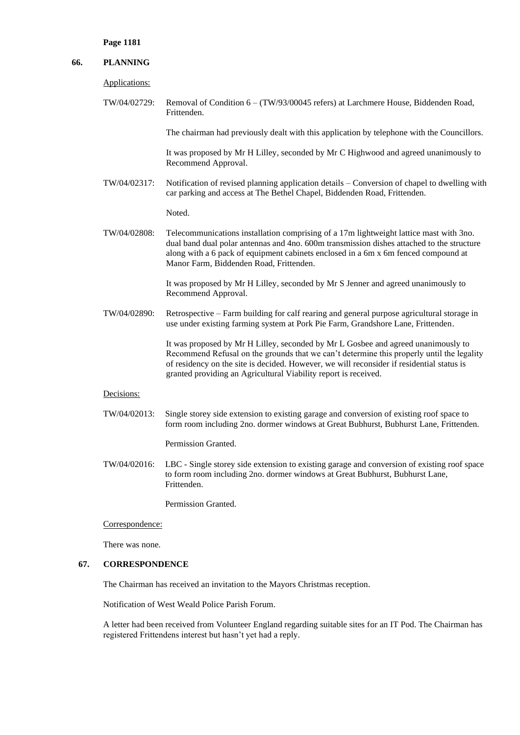# **66. PLANNING**

Applications:

TW/04/02729: Removal of Condition 6 – (TW/93/00045 refers) at Larchmere House, Biddenden Road, Frittenden.

The chairman had previously dealt with this application by telephone with the Councillors.

It was proposed by Mr H Lilley, seconded by Mr C Highwood and agreed unanimously to Recommend Approval.

TW/04/02317: Notification of revised planning application details – Conversion of chapel to dwelling with car parking and access at The Bethel Chapel, Biddenden Road, Frittenden.

Noted.

TW/04/02808: Telecommunications installation comprising of a 17m lightweight lattice mast with 3no. dual band dual polar antennas and 4no. 600m transmission dishes attached to the structure along with a 6 pack of equipment cabinets enclosed in a 6m x 6m fenced compound at Manor Farm, Biddenden Road, Frittenden.

> It was proposed by Mr H Lilley, seconded by Mr S Jenner and agreed unanimously to Recommend Approval.

TW/04/02890: Retrospective – Farm building for calf rearing and general purpose agricultural storage in use under existing farming system at Pork Pie Farm, Grandshore Lane, Frittenden.

> It was proposed by Mr H Lilley, seconded by Mr L Gosbee and agreed unanimously to Recommend Refusal on the grounds that we can't determine this properly until the legality of residency on the site is decided. However, we will reconsider if residential status is granted providing an Agricultural Viability report is received.

#### Decisions:

TW/04/02013: Single storey side extension to existing garage and conversion of existing roof space to form room including 2no. dormer windows at Great Bubhurst, Bubhurst Lane, Frittenden.

Permission Granted.

TW/04/02016: LBC - Single storey side extension to existing garage and conversion of existing roof space to form room including 2no. dormer windows at Great Bubhurst, Bubhurst Lane, Frittenden.

Permission Granted.

Correspondence:

There was none.

# **67. CORRESPONDENCE**

The Chairman has received an invitation to the Mayors Christmas reception.

Notification of West Weald Police Parish Forum.

A letter had been received from Volunteer England regarding suitable sites for an IT Pod. The Chairman has registered Frittendens interest but hasn't yet had a reply.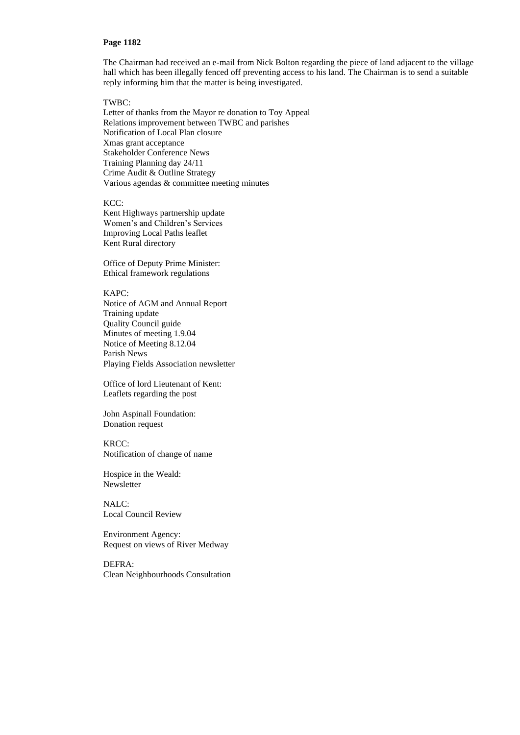The Chairman had received an e-mail from Nick Bolton regarding the piece of land adjacent to the village hall which has been illegally fenced off preventing access to his land. The Chairman is to send a suitable reply informing him that the matter is being investigated.

## TWBC:

Letter of thanks from the Mayor re donation to Toy Appeal Relations improvement between TWBC and parishes Notification of Local Plan closure Xmas grant acceptance Stakeholder Conference News Training Planning day 24/11 Crime Audit & Outline Strategy Various agendas & committee meeting minutes

KCC:

Kent Highways partnership update Women's and Children's Services Improving Local Paths leaflet Kent Rural directory

Office of Deputy Prime Minister: Ethical framework regulations

# KAPC:

Notice of AGM and Annual Report Training update Quality Council guide Minutes of meeting 1.9.04 Notice of Meeting 8.12.04 Parish News Playing Fields Association newsletter

Office of lord Lieutenant of Kent: Leaflets regarding the post

John Aspinall Foundation: Donation request

### KRCC:

Notification of change of name

Hospice in the Weald: Newsletter

NALC: Local Council Review

Environment Agency: Request on views of River Medway

DEFRA: Clean Neighbourhoods Consultation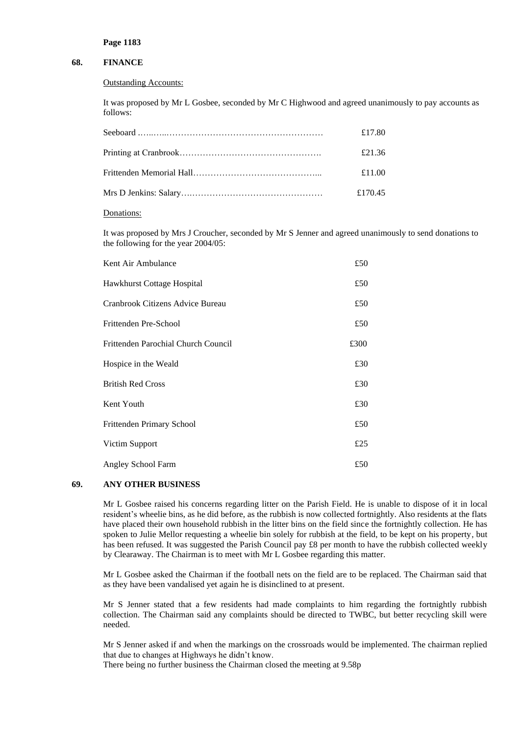# **68. FINANCE**

#### Outstanding Accounts:

It was proposed by Mr L Gosbee, seconded by Mr C Highwood and agreed unanimously to pay accounts as follows:

| £17.80  |
|---------|
| £21.36  |
| £11.00  |
| £170.45 |

#### Donations:

It was proposed by Mrs J Croucher, seconded by Mr S Jenner and agreed unanimously to send donations to the following for the year 2004/05:

| Kent Air Ambulance                  | £50  |
|-------------------------------------|------|
| Hawkhurst Cottage Hospital          | £50  |
| Cranbrook Citizens Advice Bureau    | £50  |
| Frittenden Pre-School               | £50  |
| Frittenden Parochial Church Council | £300 |
| Hospice in the Weald                | £30  |
| <b>British Red Cross</b>            | £30  |
| Kent Youth                          | £30  |
| Frittenden Primary School           | £50  |
| Victim Support                      | £25  |
| Angley School Farm                  | £50  |

# **69. ANY OTHER BUSINESS**

Mr L Gosbee raised his concerns regarding litter on the Parish Field. He is unable to dispose of it in local resident's wheelie bins, as he did before, as the rubbish is now collected fortnightly. Also residents at the flats have placed their own household rubbish in the litter bins on the field since the fortnightly collection. He has spoken to Julie Mellor requesting a wheelie bin solely for rubbish at the field, to be kept on his property, but has been refused. It was suggested the Parish Council pay £8 per month to have the rubbish collected weekly by Clearaway. The Chairman is to meet with Mr L Gosbee regarding this matter.

Mr L Gosbee asked the Chairman if the football nets on the field are to be replaced. The Chairman said that as they have been vandalised yet again he is disinclined to at present.

Mr S Jenner stated that a few residents had made complaints to him regarding the fortnightly rubbish collection. The Chairman said any complaints should be directed to TWBC, but better recycling skill were needed.

Mr S Jenner asked if and when the markings on the crossroads would be implemented. The chairman replied that due to changes at Highways he didn't know.

There being no further business the Chairman closed the meeting at 9.58p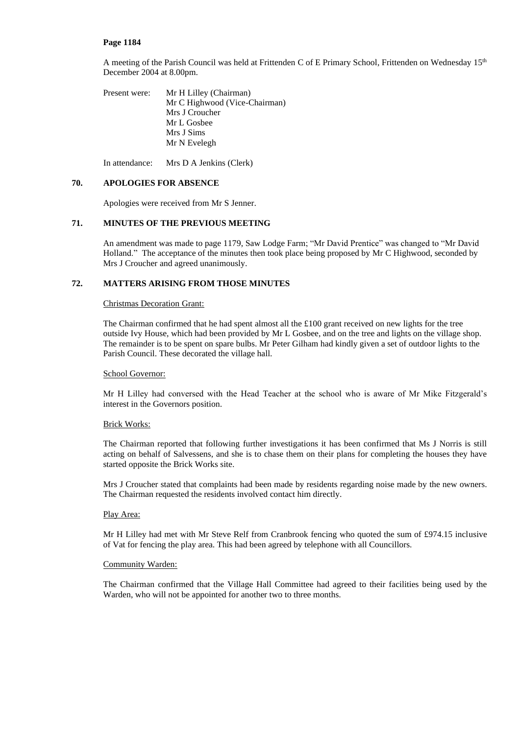A meeting of the Parish Council was held at Frittenden C of E Primary School, Frittenden on Wednesday 15th December 2004 at 8.00pm.

Present were: Mr H Lilley (Chairman) Mr C Highwood (Vice-Chairman) Mrs J Croucher Mr L Gosbee Mrs J Sims Mr N Evelegh

In attendance: Mrs D A Jenkins (Clerk)

## **70. APOLOGIES FOR ABSENCE**

Apologies were received from Mr S Jenner.

# **71. MINUTES OF THE PREVIOUS MEETING**

An amendment was made to page 1179, Saw Lodge Farm; "Mr David Prentice" was changed to "Mr David Holland." The acceptance of the minutes then took place being proposed by Mr C Highwood, seconded by Mrs J Croucher and agreed unanimously.

# **72. MATTERS ARISING FROM THOSE MINUTES**

### Christmas Decoration Grant:

The Chairman confirmed that he had spent almost all the  $£100$  grant received on new lights for the tree outside Ivy House, which had been provided by Mr L Gosbee, and on the tree and lights on the village shop. The remainder is to be spent on spare bulbs. Mr Peter Gilham had kindly given a set of outdoor lights to the Parish Council. These decorated the village hall.

### School Governor:

Mr H Lilley had conversed with the Head Teacher at the school who is aware of Mr Mike Fitzgerald's interest in the Governors position.

# Brick Works:

The Chairman reported that following further investigations it has been confirmed that Ms J Norris is still acting on behalf of Salvessens, and she is to chase them on their plans for completing the houses they have started opposite the Brick Works site.

Mrs J Croucher stated that complaints had been made by residents regarding noise made by the new owners. The Chairman requested the residents involved contact him directly.

### Play Area:

Mr H Lilley had met with Mr Steve Relf from Cranbrook fencing who quoted the sum of £974.15 inclusive of Vat for fencing the play area. This had been agreed by telephone with all Councillors.

### Community Warden:

The Chairman confirmed that the Village Hall Committee had agreed to their facilities being used by the Warden, who will not be appointed for another two to three months.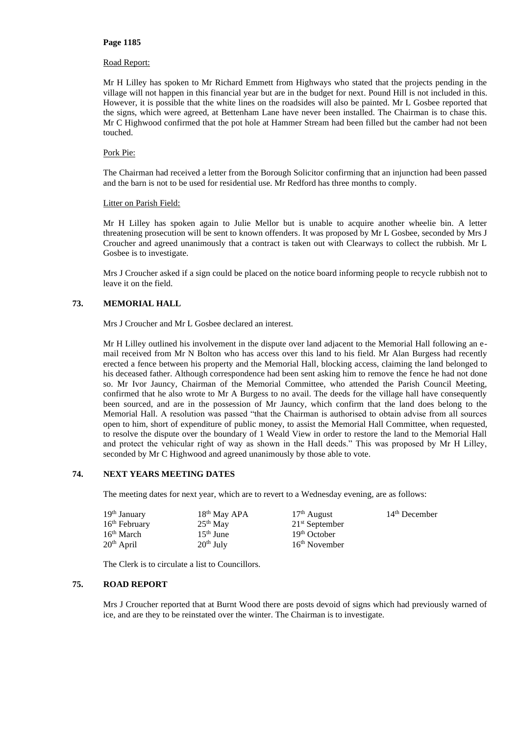### Road Report:

Mr H Lilley has spoken to Mr Richard Emmett from Highways who stated that the projects pending in the village will not happen in this financial year but are in the budget for next. Pound Hill is not included in this. However, it is possible that the white lines on the roadsides will also be painted. Mr L Gosbee reported that the signs, which were agreed, at Bettenham Lane have never been installed. The Chairman is to chase this. Mr C Highwood confirmed that the pot hole at Hammer Stream had been filled but the camber had not been touched.

### Pork Pie:

The Chairman had received a letter from the Borough Solicitor confirming that an injunction had been passed and the barn is not to be used for residential use. Mr Redford has three months to comply.

### Litter on Parish Field:

Mr H Lilley has spoken again to Julie Mellor but is unable to acquire another wheelie bin. A letter threatening prosecution will be sent to known offenders. It was proposed by Mr L Gosbee, seconded by Mrs J Croucher and agreed unanimously that a contract is taken out with Clearways to collect the rubbish. Mr L Gosbee is to investigate.

Mrs J Croucher asked if a sign could be placed on the notice board informing people to recycle rubbish not to leave it on the field.

# **73. MEMORIAL HALL**

Mrs J Croucher and Mr L Gosbee declared an interest.

Mr H Lilley outlined his involvement in the dispute over land adjacent to the Memorial Hall following an email received from Mr N Bolton who has access over this land to his field. Mr Alan Burgess had recently erected a fence between his property and the Memorial Hall, blocking access, claiming the land belonged to his deceased father. Although correspondence had been sent asking him to remove the fence he had not done so. Mr Ivor Jauncy, Chairman of the Memorial Committee, who attended the Parish Council Meeting, confirmed that he also wrote to Mr A Burgess to no avail. The deeds for the village hall have consequently been sourced, and are in the possession of Mr Jauncy, which confirm that the land does belong to the Memorial Hall. A resolution was passed "that the Chairman is authorised to obtain advise from all sources open to him, short of expenditure of public money, to assist the Memorial Hall Committee, when requested, to resolve the dispute over the boundary of 1 Weald View in order to restore the land to the Memorial Hall and protect the vehicular right of way as shown in the Hall deeds." This was proposed by Mr H Lilley, seconded by Mr C Highwood and agreed unanimously by those able to vote.

# **74. NEXT YEARS MEETING DATES**

The meeting dates for next year, which are to revert to a Wednesday evening, are as follows:

| 19 <sup>th</sup> January  | 18 <sup>th</sup> May APA | $17th$ August            | $14th$ December |
|---------------------------|--------------------------|--------------------------|-----------------|
| 16 <sup>th</sup> February | $25th$ May               | $21st$ September         |                 |
| 16 <sup>th</sup> March    | $15th$ June              | 19 <sup>th</sup> October |                 |
| 20 <sup>th</sup> April    | $20th$ July              | $16th$ November          |                 |

The Clerk is to circulate a list to Councillors.

### **75. ROAD REPORT**

Mrs J Croucher reported that at Burnt Wood there are posts devoid of signs which had previously warned of ice, and are they to be reinstated over the winter. The Chairman is to investigate.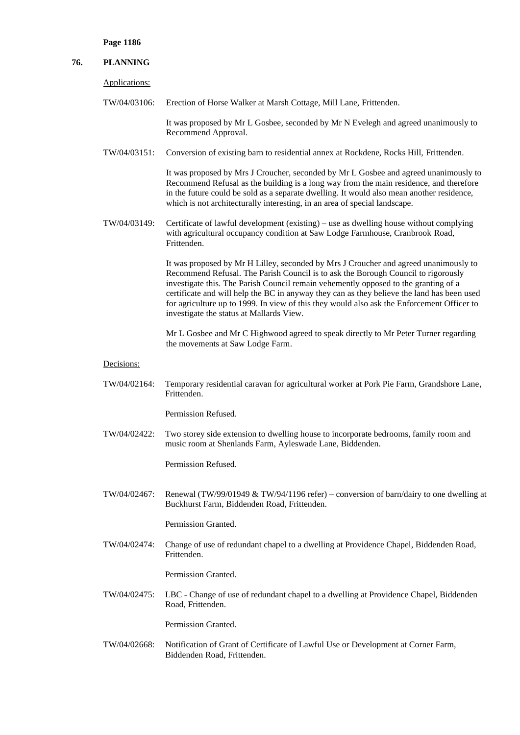| 76. | <b>PLANNING</b> |                                                                                                                                                                                                                                                                                                                                                                                                                                                                                                          |
|-----|-----------------|----------------------------------------------------------------------------------------------------------------------------------------------------------------------------------------------------------------------------------------------------------------------------------------------------------------------------------------------------------------------------------------------------------------------------------------------------------------------------------------------------------|
|     | Applications:   |                                                                                                                                                                                                                                                                                                                                                                                                                                                                                                          |
|     | TW/04/03106:    | Erection of Horse Walker at Marsh Cottage, Mill Lane, Frittenden.                                                                                                                                                                                                                                                                                                                                                                                                                                        |
|     |                 | It was proposed by Mr L Gosbee, seconded by Mr N Evelegh and agreed unanimously to<br>Recommend Approval.                                                                                                                                                                                                                                                                                                                                                                                                |
|     | TW/04/03151:    | Conversion of existing barn to residential annex at Rockdene, Rocks Hill, Frittenden.                                                                                                                                                                                                                                                                                                                                                                                                                    |
|     |                 | It was proposed by Mrs J Croucher, seconded by Mr L Gosbee and agreed unanimously to<br>Recommend Refusal as the building is a long way from the main residence, and therefore<br>in the future could be sold as a separate dwelling. It would also mean another residence,<br>which is not architecturally interesting, in an area of special landscape.                                                                                                                                                |
|     | TW/04/03149:    | Certificate of lawful development (existing) – use as dwelling house without complying<br>with agricultural occupancy condition at Saw Lodge Farmhouse, Cranbrook Road,<br>Frittenden.                                                                                                                                                                                                                                                                                                                   |
|     |                 | It was proposed by Mr H Lilley, seconded by Mrs J Croucher and agreed unanimously to<br>Recommend Refusal. The Parish Council is to ask the Borough Council to rigorously<br>investigate this. The Parish Council remain vehemently opposed to the granting of a<br>certificate and will help the BC in anyway they can as they believe the land has been used<br>for agriculture up to 1999. In view of this they would also ask the Enforcement Officer to<br>investigate the status at Mallards View. |
|     |                 | Mr L Gosbee and Mr C Highwood agreed to speak directly to Mr Peter Turner regarding<br>the movements at Saw Lodge Farm.                                                                                                                                                                                                                                                                                                                                                                                  |
|     | Decisions:      |                                                                                                                                                                                                                                                                                                                                                                                                                                                                                                          |
|     | TW/04/02164:    | Temporary residential caravan for agricultural worker at Pork Pie Farm, Grandshore Lane,<br>Frittenden.                                                                                                                                                                                                                                                                                                                                                                                                  |
|     |                 | Permission Refused.                                                                                                                                                                                                                                                                                                                                                                                                                                                                                      |
|     | TW/04/02422:    | Two storey side extension to dwelling house to incorporate bedrooms, family room and<br>music room at Shenlands Farm, Ayleswade Lane, Biddenden.                                                                                                                                                                                                                                                                                                                                                         |
|     |                 | Permission Refused.                                                                                                                                                                                                                                                                                                                                                                                                                                                                                      |
|     | TW/04/02467:    | Renewal (TW/99/01949 & TW/94/1196 refer) – conversion of barn/dairy to one dwelling at<br>Buckhurst Farm, Biddenden Road, Frittenden.                                                                                                                                                                                                                                                                                                                                                                    |
|     |                 | Permission Granted.                                                                                                                                                                                                                                                                                                                                                                                                                                                                                      |
|     | TW/04/02474:    | Change of use of redundant chapel to a dwelling at Providence Chapel, Biddenden Road,<br>Frittenden.                                                                                                                                                                                                                                                                                                                                                                                                     |
|     |                 | Permission Granted.                                                                                                                                                                                                                                                                                                                                                                                                                                                                                      |
|     | TW/04/02475:    | LBC - Change of use of redundant chapel to a dwelling at Providence Chapel, Biddenden<br>Road, Frittenden.                                                                                                                                                                                                                                                                                                                                                                                               |
|     |                 | Permission Granted.                                                                                                                                                                                                                                                                                                                                                                                                                                                                                      |
|     | TW/04/02668:    | Notification of Grant of Certificate of Lawful Use or Development at Corner Farm,<br>Biddenden Road, Frittenden.                                                                                                                                                                                                                                                                                                                                                                                         |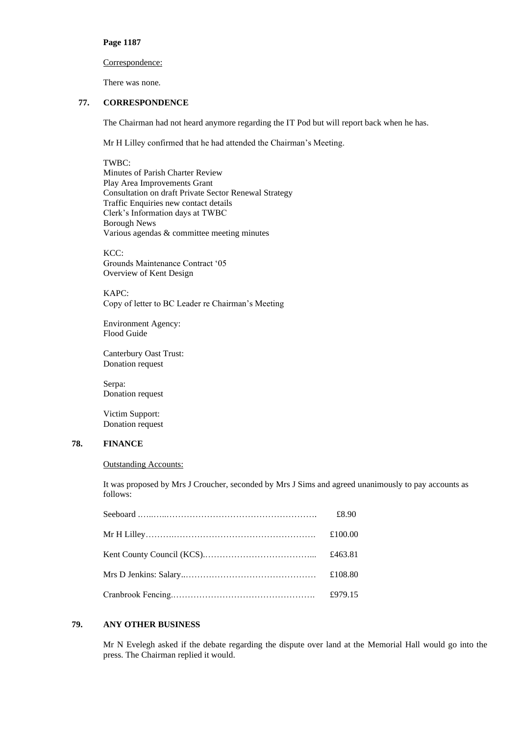# Correspondence:

There was none.

# **77. CORRESPONDENCE**

The Chairman had not heard anymore regarding the IT Pod but will report back when he has.

Mr H Lilley confirmed that he had attended the Chairman's Meeting.

### TWBC:

Minutes of Parish Charter Review Play Area Improvements Grant Consultation on draft Private Sector Renewal Strategy Traffic Enquiries new contact details Clerk's Information days at TWBC Borough News Various agendas & committee meeting minutes

KCC: Grounds Maintenance Contract '05 Overview of Kent Design

KAPC: Copy of letter to BC Leader re Chairman's Meeting

Environment Agency: Flood Guide

Canterbury Oast Trust: Donation request

Serpa: Donation request

Victim Support: Donation request

# **78. FINANCE**

## Outstanding Accounts:

It was proposed by Mrs J Croucher, seconded by Mrs J Sims and agreed unanimously to pay accounts as follows:

| £8.90   |
|---------|
| £100.00 |
| £463.81 |
| £108.80 |
| £979.15 |

# **79. ANY OTHER BUSINESS**

Mr N Evelegh asked if the debate regarding the dispute over land at the Memorial Hall would go into the press. The Chairman replied it would.